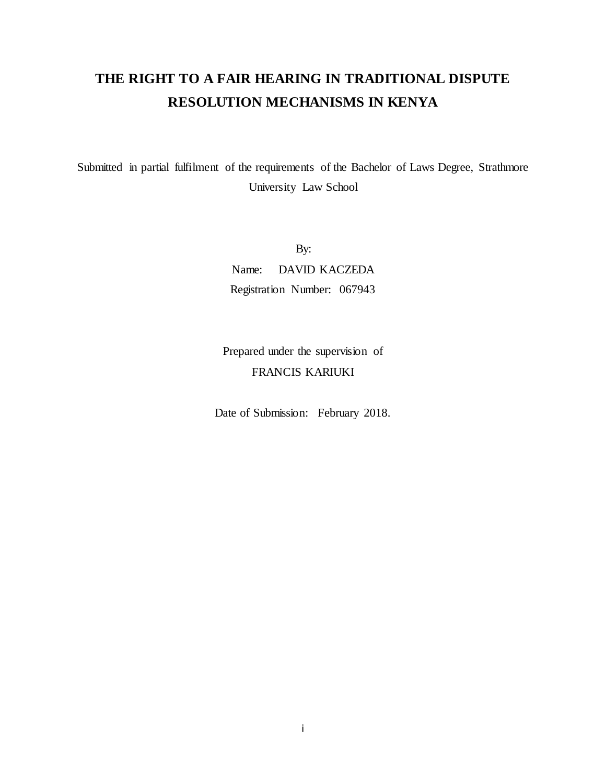# **THE RIGHT TO A FAIR HEARING IN TRADITIONAL DISPUTE RESOLUTION MECHANISMS IN KENYA**

Submitted in partial fulfilment of the requirements of the Bachelor of Laws Degree, Strathmore University Law School

> By: Name: DAVID KACZEDA Registration Number: 067943

Prepared under the supervision of FRANCIS KARIUKI

Date of Submission: February 2018.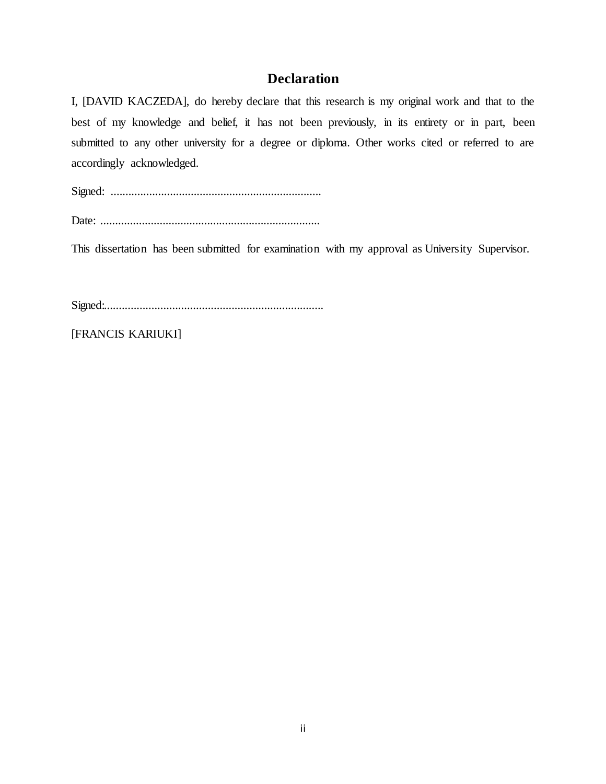# **Declaration**

<span id="page-1-0"></span>I, [DAVID KACZEDA], do hereby declare that this research is my original work and that to the best of my knowledge and belief, it has not been previously, in its entirety or in part, been submitted to any other university for a degree or diploma. Other works cited or referred to are accordingly acknowledged.

Signed: .......................................................................

Date: ..........................................................................

This dissertation has been submitted for examination with my approval as University Supervisor.

Signed:..........................................................................

[FRANCIS KARIUKI]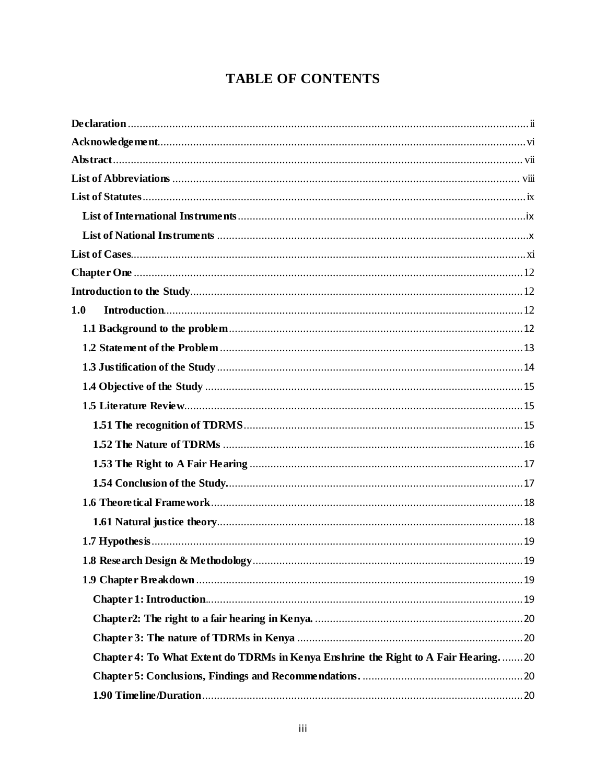# **TABLE OF CONTENTS**

| 1.0                                                                                |  |
|------------------------------------------------------------------------------------|--|
|                                                                                    |  |
|                                                                                    |  |
|                                                                                    |  |
|                                                                                    |  |
|                                                                                    |  |
|                                                                                    |  |
|                                                                                    |  |
|                                                                                    |  |
|                                                                                    |  |
|                                                                                    |  |
|                                                                                    |  |
|                                                                                    |  |
|                                                                                    |  |
|                                                                                    |  |
|                                                                                    |  |
|                                                                                    |  |
|                                                                                    |  |
| Chapter 4: To What Extent do TDRMs in Kenya Enshrine the Right to A Fair Hearing20 |  |
|                                                                                    |  |
|                                                                                    |  |
|                                                                                    |  |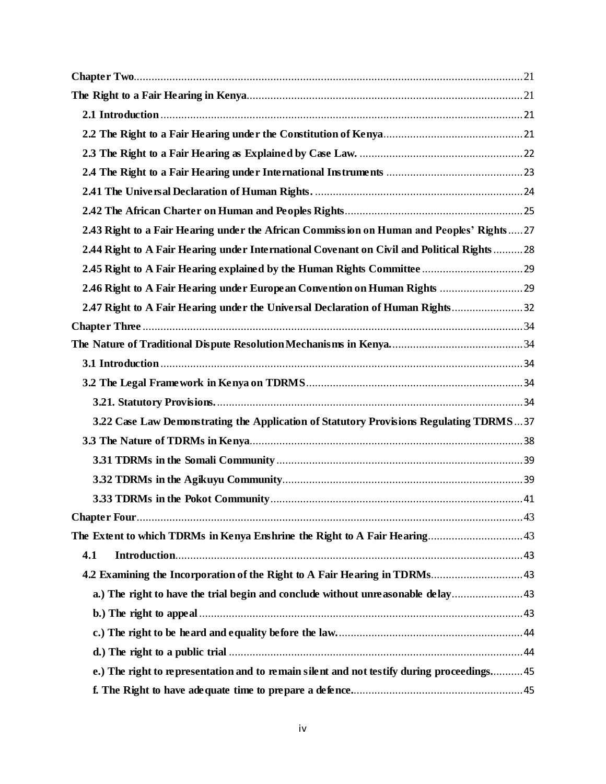| 2.43 Right to a Fair Hearing under the African Commission on Human and Peoples' Rights27   |  |
|--------------------------------------------------------------------------------------------|--|
| 2.44 Right to A Fair Hearing under International Covenant on Civil and Political Rights 28 |  |
|                                                                                            |  |
|                                                                                            |  |
| 2.47 Right to A Fair Hearing under the Universal Declaration of Human Rights 32            |  |
|                                                                                            |  |
|                                                                                            |  |
|                                                                                            |  |
|                                                                                            |  |
|                                                                                            |  |
| 3.22 Case Law Demonstrating the Application of Statutory Provisions Regulating TDRMS37     |  |
|                                                                                            |  |
|                                                                                            |  |
|                                                                                            |  |
|                                                                                            |  |
|                                                                                            |  |
|                                                                                            |  |
| 4.1                                                                                        |  |
|                                                                                            |  |
| a.) The right to have the trial begin and conclude without unreasonable delay43            |  |
|                                                                                            |  |
|                                                                                            |  |
|                                                                                            |  |
| e.) The right to representation and to remain silent and not testify during proceedings 45 |  |
|                                                                                            |  |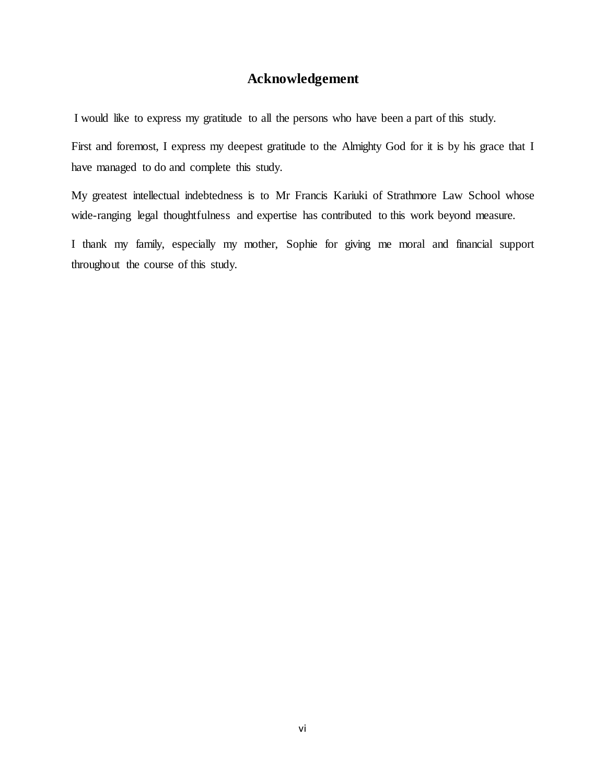# **Acknowledgement**

<span id="page-5-0"></span>I would like to express my gratitude to all the persons who have been a part of this study.

First and foremost, I express my deepest gratitude to the Almighty God for it is by his grace that I have managed to do and complete this study.

My greatest intellectual indebtedness is to Mr Francis Kariuki of Strathmore Law School whose wide-ranging legal thoughtfulness and expertise has contributed to this work beyond measure.

I thank my family, especially my mother, Sophie for giving me moral and financial support throughout the course of this study.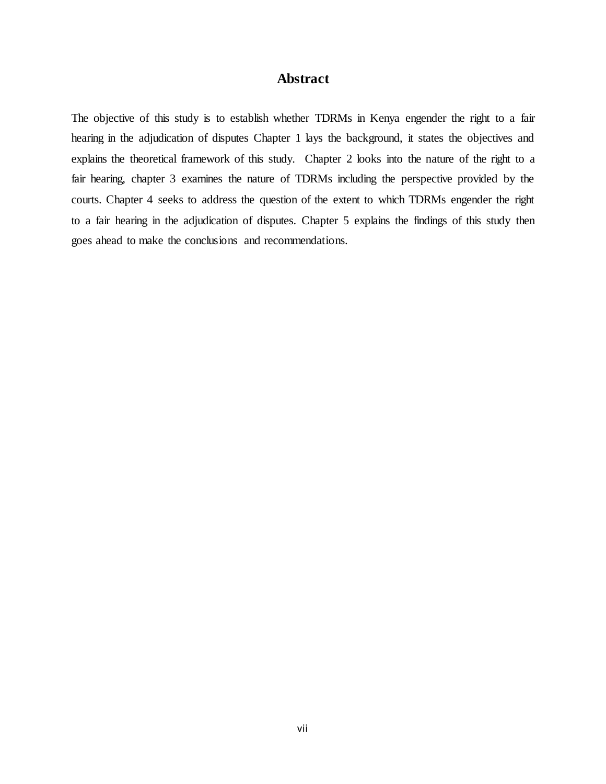# **Abstract**

<span id="page-6-0"></span>The objective of this study is to establish whether TDRMs in Kenya engender the right to a fair hearing in the adjudication of disputes Chapter 1 lays the background, it states the objectives and explains the theoretical framework of this study. Chapter 2 looks into the nature of the right to a fair hearing, chapter 3 examines the nature of TDRMs including the perspective provided by the courts. Chapter 4 seeks to address the question of the extent to which TDRMs engender the right to a fair hearing in the adjudication of disputes. Chapter 5 explains the findings of this study then goes ahead to make the conclusions and recommendations.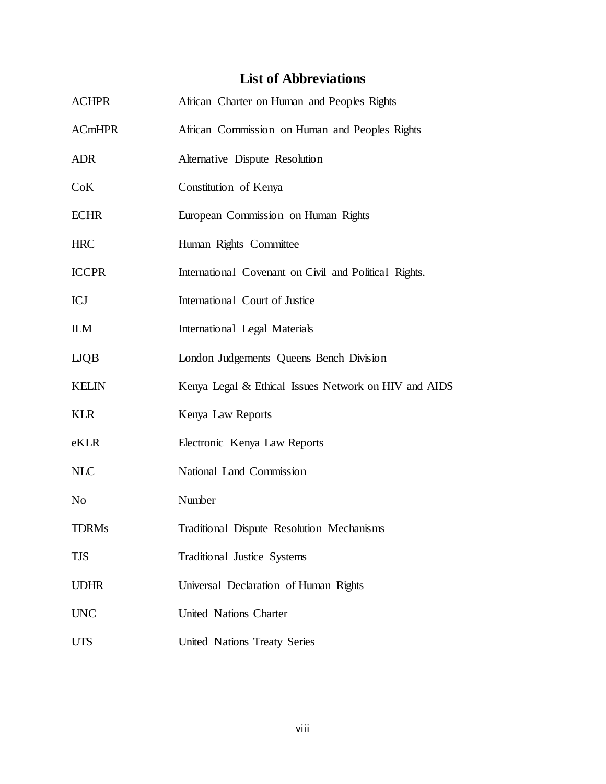# **List of Abbreviations**

<span id="page-7-0"></span>

| <b>ACHPR</b>   | African Charter on Human and Peoples Rights           |
|----------------|-------------------------------------------------------|
| <b>ACmHPR</b>  | African Commission on Human and Peoples Rights        |
| <b>ADR</b>     | Alternative Dispute Resolution                        |
| CoK            | Constitution of Kenya                                 |
| <b>ECHR</b>    | European Commission on Human Rights                   |
| <b>HRC</b>     | Human Rights Committee                                |
| <b>ICCPR</b>   | International Covenant on Civil and Political Rights. |
| <b>ICJ</b>     | International Court of Justice                        |
| <b>ILM</b>     | International Legal Materials                         |
| <b>LJQB</b>    | London Judgements Queens Bench Division               |
| <b>KELIN</b>   | Kenya Legal & Ethical Issues Network on HIV and AIDS  |
| <b>KLR</b>     | Kenya Law Reports                                     |
| eKLR           | Electronic Kenya Law Reports                          |
| <b>NLC</b>     | National Land Commission                              |
| N <sub>0</sub> | Number                                                |
| <b>TDRMs</b>   | Traditional Dispute Resolution Mechanisms             |
| TJS            | Traditional Justice Systems                           |
| <b>UDHR</b>    | Universal Declaration of Human Rights                 |
| <b>UNC</b>     | United Nations Charter                                |
| <b>UTS</b>     | United Nations Treaty Series                          |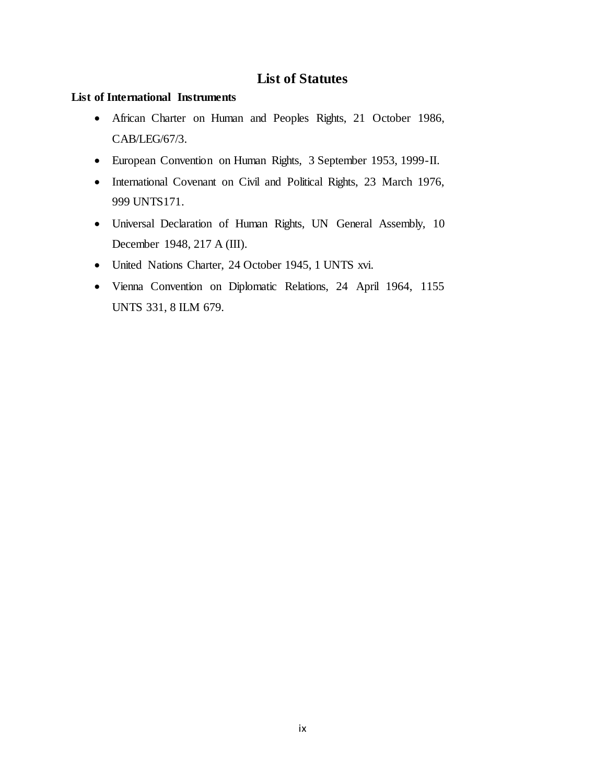# **List of Statutes**

# <span id="page-8-1"></span><span id="page-8-0"></span>**List of International Instruments**

- African Charter on Human and Peoples Rights, 21 October 1986, CAB/LEG/67/3.
- European Convention on Human Rights, 3 September 1953, 1999-II.
- International Covenant on Civil and Political Rights, 23 March 1976, 999 UNTS171.
- Universal Declaration of Human Rights, UN General Assembly, 10 December 1948, 217 A (III).
- United Nations Charter, 24 October 1945, 1 UNTS xvi.
- Vienna Convention on Diplomatic Relations, 24 April 1964, 1155 UNTS 331, 8 ILM 679.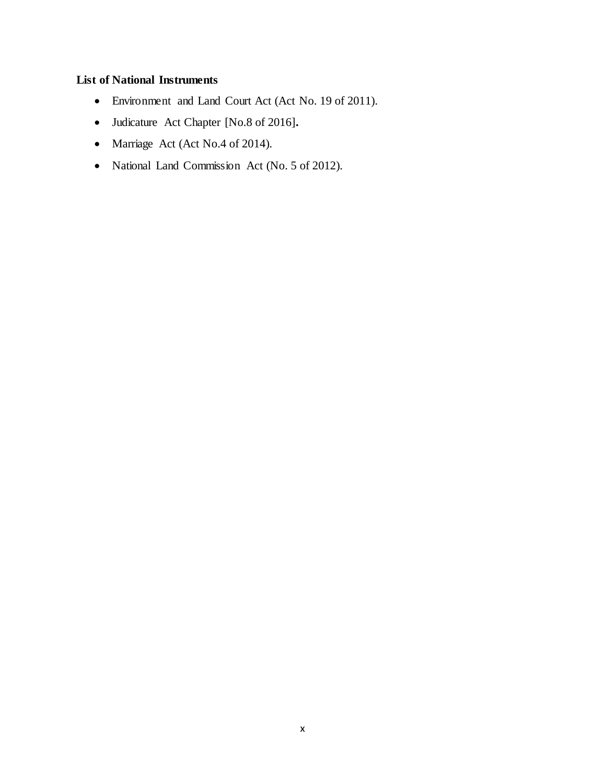# <span id="page-9-0"></span>**List of National Instruments**

- Environment and Land Court Act (Act No. 19 of 2011).
- Judicature Act Chapter [No.8 of 2016]**.**
- Marriage Act (Act No.4 of 2014).
- National Land Commission Act (No. 5 of 2012).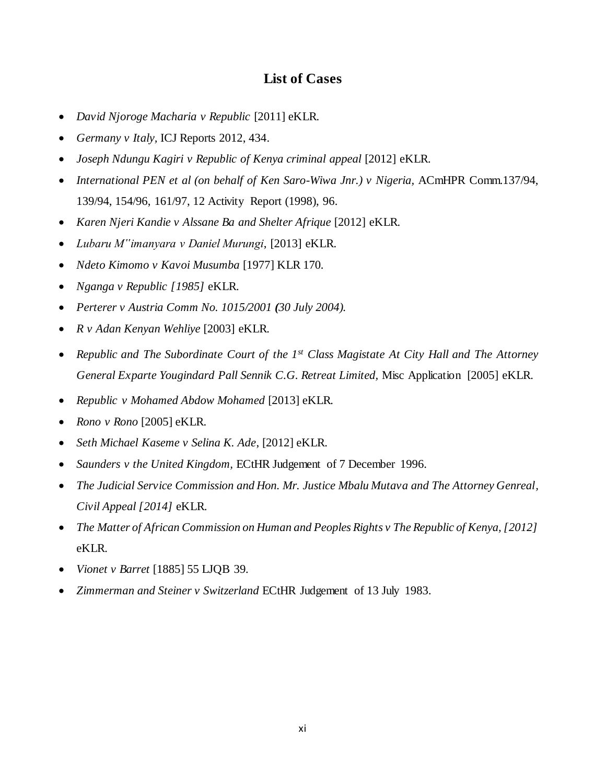# **List of Cases**

- <span id="page-10-0"></span>*David Njoroge Macharia v Republic* [2011] eKLR.
- *Germany v Italy,* ICJ Reports 2012, 434.
- *Joseph Ndungu Kagiri v Republic of Kenya criminal appeal* [2012] eKLR.
- International PEN et al (on behalf of Ken Saro-Wiwa Jnr.) v Nigeria, ACmHPR Comm.137/94, 139/94, 154/96, 161/97, 12 Activity Report (1998), 96*.*
- *Karen Njeri Kandie v Alssane Ba and Shelter Afrique* [2012] eKLR.
- *Lubaru M"imanyara v Daniel Murungi*, [2013] eKLR.
- *Ndeto Kimomo v Kavoi Musumba* [1977] KLR 170*.*
- *Nganga v Republic [1985]* eKLR.
- *Perterer v Austria Comm No. 1015/2001 (30 July 2004).*
- *R v Adan Kenyan Wehliye* [2003] eKLR.
- *Republic and The Subordinate Court of the 1st Class Magistate At City Hall and The Attorney General Exparte Yougindard Pall Sennik C.G. Retreat Limited,* Misc Application [2005] eKLR.
- *Republic v Mohamed Abdow Mohamed* [2013] eKLR*.*
- *Rono v Rono* [2005] eKLR.
- *Seth Michael Kaseme v Selina K. Ade*, [2012] eKLR.
- *Saunders v the United Kingdom,* ECtHR Judgement of 7 December 1996.
- *The Judicial Service Commission and Hon. Mr. Justice Mbalu Mutava and The Attorney Genreal, Civil Appeal [2014]* eKLR.
- *The Matter of African Commission on Human and Peoples Rights v The Republic of Kenya, [2012]*  eKLR.
- *Vionet v Barret* [1885] 55 LJQB 39*.*
- *Zimmerman and Steiner v Switzerland* ECtHR Judgement of 13 July 1983*.*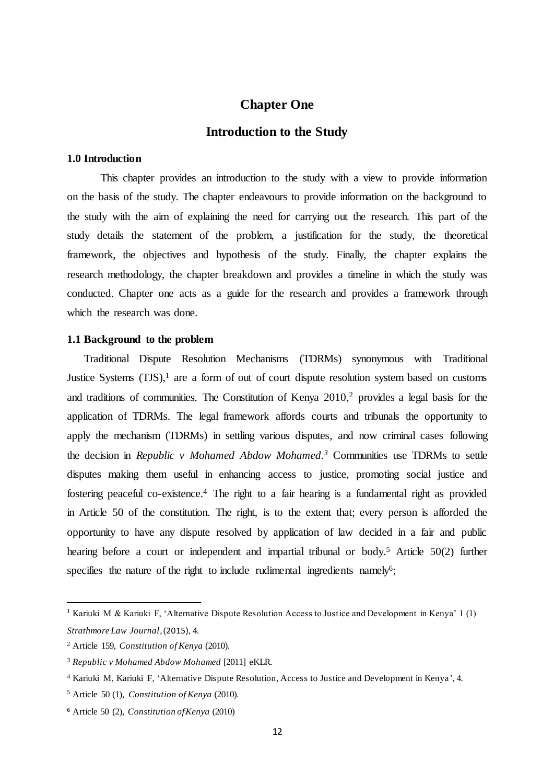# **Chapter One**

# **Introduction to the Study**

# <span id="page-11-2"></span><span id="page-11-1"></span><span id="page-11-0"></span>**1.0 Introduction**

This chapter provides an introduction to the study with a view to provide information on the basis of the study. The chapter endeavours to provide information on the background to the study with the aim of explaining the need for carrying out the research. This part of the study details the statement of the problem, a justification for the study, the theoretical framework, the objectives and hypothesis of the study. Finally, the chapter explains the research methodology, the chapter breakdown and provides a timeline in which the study was conducted. Chapter one acts as a guide for the research and provides a framework through which the research was done.

## <span id="page-11-3"></span>**1.1 Background to the problem**

Traditional Dispute Resolution Mechanisms (TDRMs) synonymous with Traditional Justice Systems (TJS),<sup>1</sup> are a form of out of court dispute resolution system based on customs and traditions of communities. The Constitution of Kenya 2010, <sup>2</sup> provides a legal basis for the application of TDRMs. The legal framework affords courts and tribunals the opportunity to apply the mechanism (TDRMs) in settling various disputes, and now criminal cases following the decision in *Republic v Mohamed Abdow Mohamed. <sup>3</sup>* Communities use TDRMs to settle disputes making them useful in enhancing access to justice, promoting social justice and fostering peaceful co-existence. <sup>4</sup> The right to a fair hearing is a fundamental right as provided in Article 50 of the constitution. The right, is to the extent that; every person is afforded the opportunity to have any dispute resolved by application of law decided in a fair and public hearing before a court or independent and impartial tribunal or body.<sup>5</sup> Article 50(2) further specifies the nature of the right to include rudimental ingredients namely<sup>6</sup>;

<sup>&</sup>lt;sup>1</sup> Kariuki M & Kariuki F, 'Alternative Dispute Resolution Access to Justice and Development in Kenya' 1 (1) *Strathmore Law Journal*,(2015), 4.

<sup>2</sup> Article 159, *Constitution of Kenya* (2010).

<sup>3</sup> *Republic v Mohamed Abdow Mohamed* [2011] eKLR.

<sup>4</sup> Kariuki M, Kariuki F, 'Alternative Dispute Resolution, Access to Justice and Development in Kenya', 4.

<sup>5</sup> Article 50 (1), *Constitution of Kenya* (2010).

<sup>6</sup> Article 50 (2), *Constitution of Kenya* (2010)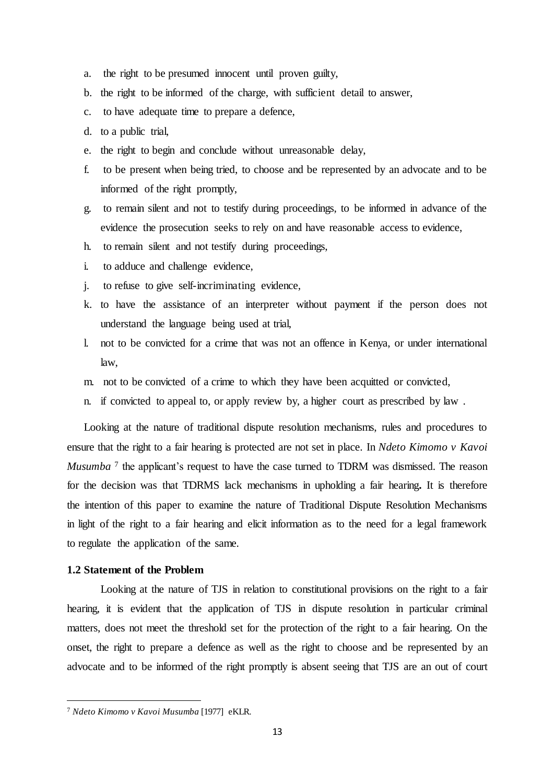- a. the right to be presumed innocent until proven guilty,
- b. the right to be informed of the charge, with sufficient detail to answer,
- c. to have adequate time to prepare a defence,
- d. to a public trial,
- e. the right to begin and conclude without unreasonable delay,
- f. to be present when being tried, to choose and be represented by an advocate and to be informed of the right promptly,
- g. to remain silent and not to testify during proceedings, to be informed in advance of the evidence the prosecution seeks to rely on and have reasonable access to evidence,
- h. to remain silent and not testify during proceedings,
- i. to adduce and challenge evidence,
- j. to refuse to give self-incriminating evidence,
- k. to have the assistance of an interpreter without payment if the person does not understand the language being used at trial,
- l. not to be convicted for a crime that was not an offence in Kenya, or under international law,
- m. not to be convicted of a crime to which they have been acquitted or convicted,
- n. if convicted to appeal to, or apply review by, a higher court as prescribed by law .

Looking at the nature of traditional dispute resolution mechanisms, rules and procedures to ensure that the right to a fair hearing is protected are not set in place. In *Ndeto Kimomo v Kavoi Musumba*<sup>7</sup> the applicant's request to have the case turned to TDRM was dismissed. The reason for the decision was that TDRMS lack mechanisms in upholding a fair hearing**.** It is therefore the intention of this paper to examine the nature of Traditional Dispute Resolution Mechanisms in light of the right to a fair hearing and elicit information as to the need for a legal framework to regulate the application of the same.

### <span id="page-12-0"></span>**1.2 Statement of the Problem**

Looking at the nature of TJS in relation to constitutional provisions on the right to a fair hearing, it is evident that the application of TJS in dispute resolution in particular criminal matters, does not meet the threshold set for the protection of the right to a fair hearing. On the onset, the right to prepare a defence as well as the right to choose and be represented by an advocate and to be informed of the right promptly is absent seeing that TJS are an out of court

<sup>7</sup> *Ndeto Kimomo v Kavoi Musumba* [1977] eKLR.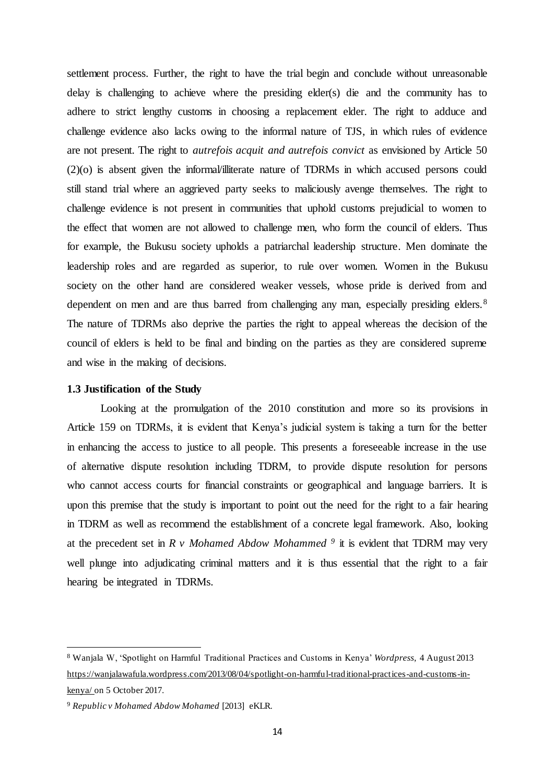settlement process. Further, the right to have the trial begin and conclude without unreasonable delay is challenging to achieve where the presiding elder(s) die and the community has to adhere to strict lengthy customs in choosing a replacement elder. The right to adduce and challenge evidence also lacks owing to the informal nature of TJS, in which rules of evidence are not present. The right to *autrefois acquit and autrefois convict* as envisioned by Article 50 (2)(o) is absent given the informal/illiterate nature of TDRMs in which accused persons could still stand trial where an aggrieved party seeks to maliciously avenge themselves. The right to challenge evidence is not present in communities that uphold customs prejudicial to women to the effect that women are not allowed to challenge men, who form the council of elders. Thus for example, the Bukusu society upholds a patriarchal leadership structure. Men dominate the leadership roles and are regarded as superior, to rule over women. Women in the Bukusu society on the other hand are considered weaker vessels, whose pride is derived from and dependent on men and are thus barred from challenging any man, especially presiding elders.<sup>8</sup> The nature of TDRMs also deprive the parties the right to appeal whereas the decision of the council of elders is held to be final and binding on the parties as they are considered supreme and wise in the making of decisions.

#### <span id="page-13-0"></span>**1.3 Justification of the Study**

Looking at the promulgation of the 2010 constitution and more so its provisions in Article 159 on TDRMs, it is evident that Kenya's judicial system is taking a turn for the better in enhancing the access to justice to all people. This presents a foreseeable increase in the use of alternative dispute resolution including TDRM, to provide dispute resolution for persons who cannot access courts for financial constraints or geographical and language barriers. It is upon this premise that the study is important to point out the need for the right to a fair hearing in TDRM as well as recommend the establishment of a concrete legal framework. Also, looking at the precedent set in *R v Mohamed Abdow Mohammed <sup>9</sup>* it is evident that TDRM may very well plunge into adjudicating criminal matters and it is thus essential that the right to a fair hearing be integrated in TDRMs.

<sup>8</sup> Wanjala W, 'Spotlight on Harmful Traditional Practices and Customs in Kenya' *Wordpress*, 4 August 2013 [https://wanjalawafula.wordpress.com/2013/08/04/spotlight-on-harmful-traditional-practices-and-customs-in](https://wanjalawafula.wordpress.com/2013/08/04/spotlight-on-harmful-traditional-practices-and-customs-in-kenya/)[kenya/](https://wanjalawafula.wordpress.com/2013/08/04/spotlight-on-harmful-traditional-practices-and-customs-in-kenya/) on 5 October 2017.

<sup>9</sup> *Republic v Mohamed Abdow Mohamed* [2013] eKLR.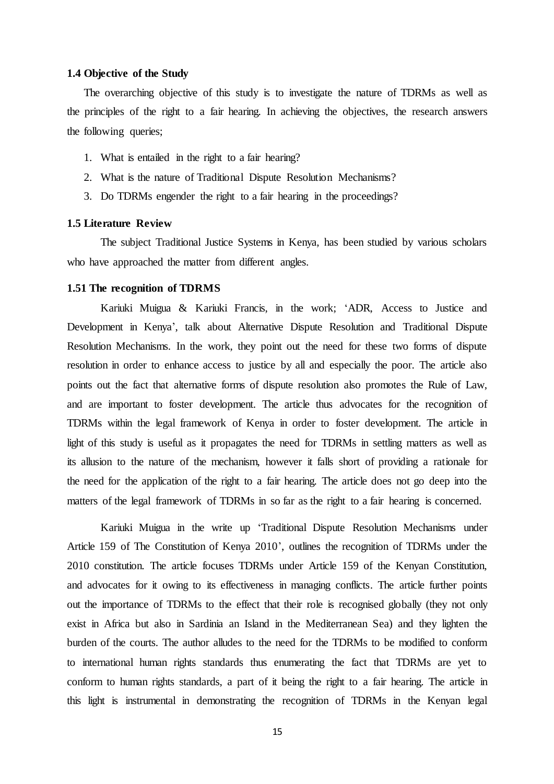#### <span id="page-14-0"></span>**1.4 Objective of the Study**

The overarching objective of this study is to investigate the nature of TDRMs as well as the principles of the right to a fair hearing. In achieving the objectives, the research answers the following queries;

- 1. What is entailed in the right to a fair hearing?
- <span id="page-14-1"></span>2. What is the nature of Traditional Dispute Resolution Mechanisms?
- 3. Do TDRMs engender the right to a fair hearing in the proceedings?

# **1.5 Literature Review**

<span id="page-14-2"></span>The subject Traditional Justice Systems in Kenya, has been studied by various scholars who have approached the matter from different angles.

#### **1.51 The recognition of TDRMS**

Kariuki Muigua & Kariuki Francis, in the work; 'ADR, Access to Justice and Development in Kenya', talk about Alternative Dispute Resolution and Traditional Dispute Resolution Mechanisms. In the work, they point out the need for these two forms of dispute resolution in order to enhance access to justice by all and especially the poor. The article also points out the fact that alternative forms of dispute resolution also promotes the Rule of Law, and are important to foster development. The article thus advocates for the recognition of TDRMs within the legal framework of Kenya in order to foster development. The article in light of this study is useful as it propagates the need for TDRMs in settling matters as well as its allusion to the nature of the mechanism, however it falls short of providing a rationale for the need for the application of the right to a fair hearing. The article does not go deep into the matters of the legal framework of TDRMs in so far as the right to a fair hearing is concerned.

Kariuki Muigua in the write up 'Traditional Dispute Resolution Mechanisms under Article 159 of The Constitution of Kenya 2010', outlines the recognition of TDRMs under the 2010 constitution. The article focuses TDRMs under Article 159 of the Kenyan Constitution, and advocates for it owing to its effectiveness in managing conflicts. The article further points out the importance of TDRMs to the effect that their role is recognised globally (they not only exist in Africa but also in Sardinia an Island in the Mediterranean Sea) and they lighten the burden of the courts. The author alludes to the need for the TDRMs to be modified to conform to international human rights standards thus enumerating the fact that TDRMs are yet to conform to human rights standards, a part of it being the right to a fair hearing. The article in this light is instrumental in demonstrating the recognition of TDRMs in the Kenyan legal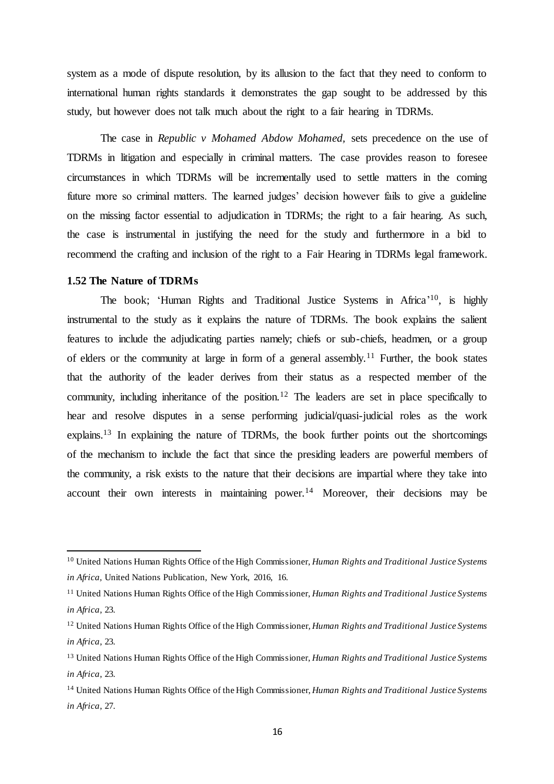system as a mode of dispute resolution, by its allusion to the fact that they need to conform to international human rights standards it demonstrates the gap sought to be addressed by this study, but however does not talk much about the right to a fair hearing in TDRMs.

The case in *Republic v Mohamed Abdow Mohamed,* sets precedence on the use of TDRMs in litigation and especially in criminal matters. The case provides reason to foresee circumstances in which TDRMs will be incrementally used to settle matters in the coming future more so criminal matters. The learned judges' decision however fails to give a guideline on the missing factor essential to adjudication in TDRMs; the right to a fair hearing. As such, the case is instrumental in justifying the need for the study and furthermore in a bid to recommend the crafting and inclusion of the right to a Fair Hearing in TDRMs legal framework.

# <span id="page-15-0"></span>**1.52 The Nature of TDRMs**

 $\overline{a}$ 

The book; 'Human Rights and Traditional Justice Systems in Africa' <sup>10</sup>, is highly instrumental to the study as it explains the nature of TDRMs. The book explains the salient features to include the adjudicating parties namely; chiefs or sub-chiefs, headmen, or a group of elders or the community at large in form of a general assembly.<sup>11</sup> Further, the book states that the authority of the leader derives from their status as a respected member of the community, including inheritance of the position.<sup>12</sup> The leaders are set in place specifically to hear and resolve disputes in a sense performing judicial/quasi-judicial roles as the work explains.<sup>13</sup> In explaining the nature of TDRMs, the book further points out the shortcomings of the mechanism to include the fact that since the presiding leaders are powerful members of the community, a risk exists to the nature that their decisions are impartial where they take into account their own interests in maintaining power.<sup>14</sup> Moreover, their decisions may be

<sup>10</sup> United Nations Human Rights Office of the High Commissioner, *Human Rights and Traditional Justice Systems in Africa,* United Nations Publication, New York, 2016, 16.

<sup>11</sup> United Nations Human Rights Office of the High Commissioner, *Human Rights and Traditional Justice Systems in Africa*, 23.

<sup>12</sup> United Nations Human Rights Office of the High Commissioner, *Human Rights and Traditional Justice Systems in Africa*, 23.

<sup>13</sup> United Nations Human Rights Office of the High Commissioner, *Human Rights and Traditional Justice Systems in Africa*, 23.

<sup>14</sup> United Nations Human Rights Office of the High Commissioner, *Human Rights and Traditional Justice Systems in Africa*, 27.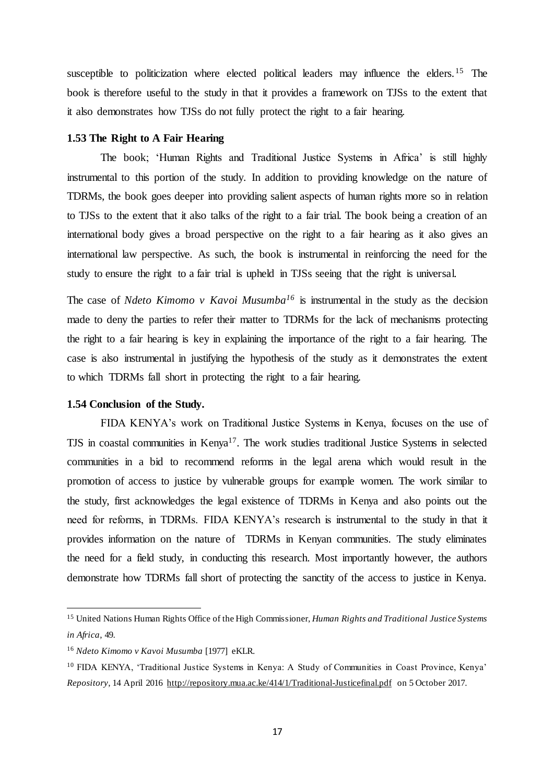<span id="page-16-0"></span>susceptible to politicization where elected political leaders may influence the elders.<sup>15</sup> The book is therefore useful to the study in that it provides a framework on TJSs to the extent that it also demonstrates how TJSs do not fully protect the right to a fair hearing.

### **1.53 The Right to A Fair Hearing**

The book; 'Human Rights and Traditional Justice Systems in Africa' is still highly instrumental to this portion of the study. In addition to providing knowledge on the nature of TDRMs, the book goes deeper into providing salient aspects of human rights more so in relation to TJSs to the extent that it also talks of the right to a fair trial. The book being a creation of an international body gives a broad perspective on the right to a fair hearing as it also gives an international law perspective. As such, the book is instrumental in reinforcing the need for the study to ensure the right to a fair trial is upheld in TJSs seeing that the right is universal.

The case of *Ndeto Kimomo v Kavoi Musumba<sup>16</sup>* is instrumental in the study as the decision made to deny the parties to refer their matter to TDRMs for the lack of mechanisms protecting the right to a fair hearing is key in explaining the importance of the right to a fair hearing. The case is also instrumental in justifying the hypothesis of the study as it demonstrates the extent to which TDRMs fall short in protecting the right to a fair hearing.

#### <span id="page-16-1"></span>**1.54 Conclusion of the Study.**

FIDA KENYA's work on Traditional Justice Systems in Kenya, focuses on the use of TJS in coastal communities in Kenya<sup>17</sup>. The work studies traditional Justice Systems in selected communities in a bid to recommend reforms in the legal arena which would result in the promotion of access to justice by vulnerable groups for example women. The work similar to the study, first acknowledges the legal existence of TDRMs in Kenya and also points out the need for reforms, in TDRMs. FIDA KENYA's research is instrumental to the study in that it provides information on the nature of TDRMs in Kenyan communities. The study eliminates the need for a field study, in conducting this research. Most importantly however, the authors demonstrate how TDRMs fall short of protecting the sanctity of the access to justice in Kenya.

<sup>15</sup> United Nations Human Rights Office of the High Commissioner, *Human Rights and Traditional Justice Systems in Africa*, 49.

<sup>16</sup> *Ndeto Kimomo v Kavoi Musumba* [1977] eKLR.

<sup>10</sup> FIDA KENYA, 'Traditional Justice Systems in Kenya: A Study of Communities in Coast Province, Kenya' *Repository*, 14 April 2016<http://repository.mua.ac.ke/414/1/Traditional-Justicefinal.pdf> on 5 October 2017.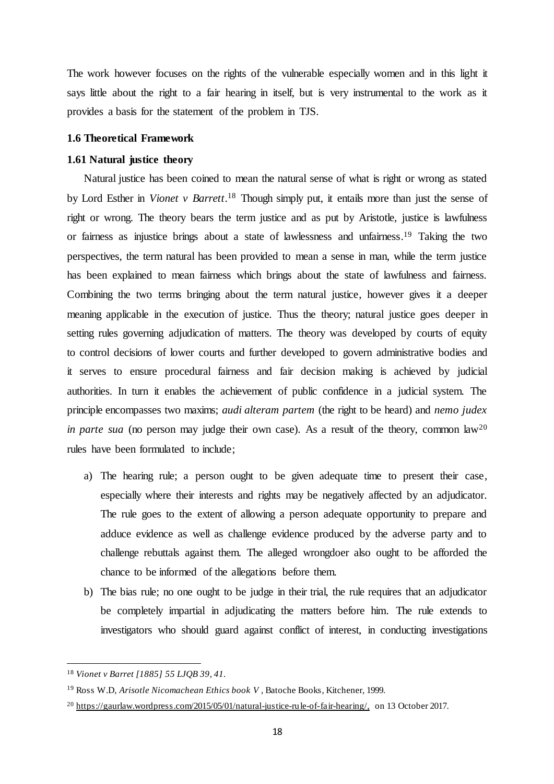<span id="page-17-0"></span>The work however focuses on the rights of the vulnerable especially women and in this light it says little about the right to a fair hearing in itself, but is very instrumental to the work as it provides a basis for the statement of the problem in TJS.

# <span id="page-17-1"></span>**1.6 Theoretical Framework**

#### **1.61 Natural justice theory**

Natural justice has been coined to mean the natural sense of what is right or wrong as stated by Lord Esther in *Vionet v Barrett*. <sup>18</sup> Though simply put, it entails more than just the sense of right or wrong. The theory bears the term justice and as put by Aristotle, justice is lawfulness or fairness as injustice brings about a state of lawlessness and unfairness. <sup>19</sup> Taking the two perspectives, the term natural has been provided to mean a sense in man, while the term justice has been explained to mean fairness which brings about the state of lawfulness and fairness. Combining the two terms bringing about the term natural justice, however gives it a deeper meaning applicable in the execution of justice. Thus the theory; natural justice goes deeper in setting rules governing adjudication of matters. The theory was developed by courts of equity to control decisions of lower courts and further developed to govern administrative bodies and it serves to ensure procedural fairness and fair decision making is achieved by judicial authorities. In turn it enables the achievement of public confidence in a judicial system. The principle encompasses two maxims; *audi alteram partem* (the right to be heard) and *nemo judex in parte sua* (no person may judge their own case). As a result of the theory, common law<sup>20</sup> rules have been formulated to include;

- a) The hearing rule; a person ought to be given adequate time to present their case, especially where their interests and rights may be negatively affected by an adjudicator. The rule goes to the extent of allowing a person adequate opportunity to prepare and adduce evidence as well as challenge evidence produced by the adverse party and to challenge rebuttals against them. The alleged wrongdoer also ought to be afforded the chance to be informed of the allegations before them.
- b) The bias rule; no one ought to be judge in their trial, the rule requires that an adjudicator be completely impartial in adjudicating the matters before him. The rule extends to investigators who should guard against conflict of interest, in conducting investigations

<sup>18</sup> *Vionet v Barret [1885] 55 LJQB 39, 41.*

<sup>19</sup> Ross W.D, *Arisotle Nicomachean Ethics book V* , Batoche Books, Kitchener, 1999.

<sup>&</sup>lt;sup>20</sup> [https://gaurlaw.wordpress.com/2015/05/01/natural-justice-rule-of-fair-hearing/,](https://gaurlaw.wordpress.com/2015/05/01/natural-justice-rule-of-fair-hearing/) on 13 October 2017.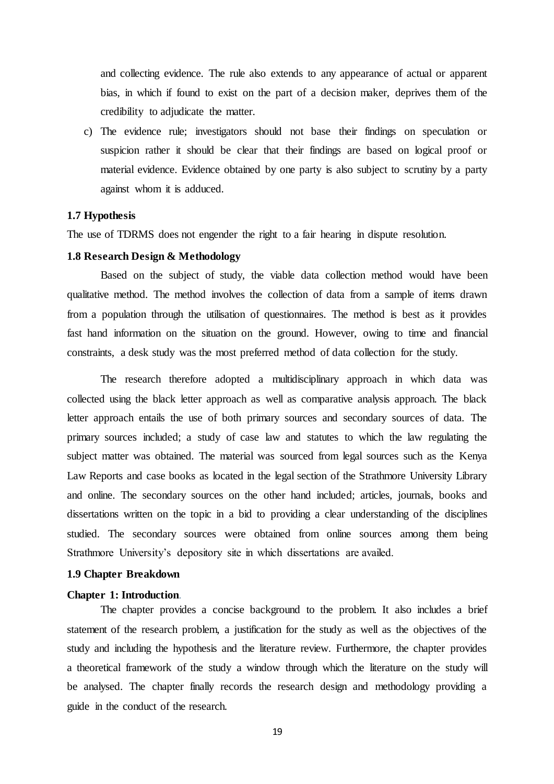and collecting evidence. The rule also extends to any appearance of actual or apparent bias, in which if found to exist on the part of a decision maker, deprives them of the credibility to adjudicate the matter.

<span id="page-18-0"></span>c) The evidence rule; investigators should not base their findings on speculation or suspicion rather it should be clear that their findings are based on logical proof or material evidence. Evidence obtained by one party is also subject to scrutiny by a party against whom it is adduced.

# <span id="page-18-1"></span>**1.7 Hypothesis**

The use of TDRMS does not engender the right to a fair hearing in dispute resolution.

# **1.8 Research Design & Methodology**

Based on the subject of study, the viable data collection method would have been qualitative method. The method involves the collection of data from a sample of items drawn from a population through the utilisation of questionnaires. The method is best as it provides fast hand information on the situation on the ground. However, owing to time and financial constraints, a desk study was the most preferred method of data collection for the study.

The research therefore adopted a multidisciplinary approach in which data was collected using the black letter approach as well as comparative analysis approach. The black letter approach entails the use of both primary sources and secondary sources of data. The primary sources included; a study of case law and statutes to which the law regulating the subject matter was obtained. The material was sourced from legal sources such as the Kenya Law Reports and case books as located in the legal section of the Strathmore University Library and online. The secondary sources on the other hand included; articles, journals, books and dissertations written on the topic in a bid to providing a clear understanding of the disciplines studied. The secondary sources were obtained from online sources among them being Strathmore University's depository site in which dissertations are availed.

### <span id="page-18-3"></span><span id="page-18-2"></span>**1.9 Chapter Breakdown**

#### **Chapter 1: Introduction**.

The chapter provides a concise background to the problem. It also includes a brief statement of the research problem, a justification for the study as well as the objectives of the study and including the hypothesis and the literature review. Furthermore, the chapter provides a theoretical framework of the study a window through which the literature on the study will be analysed. The chapter finally records the research design and methodology providing a guide in the conduct of the research.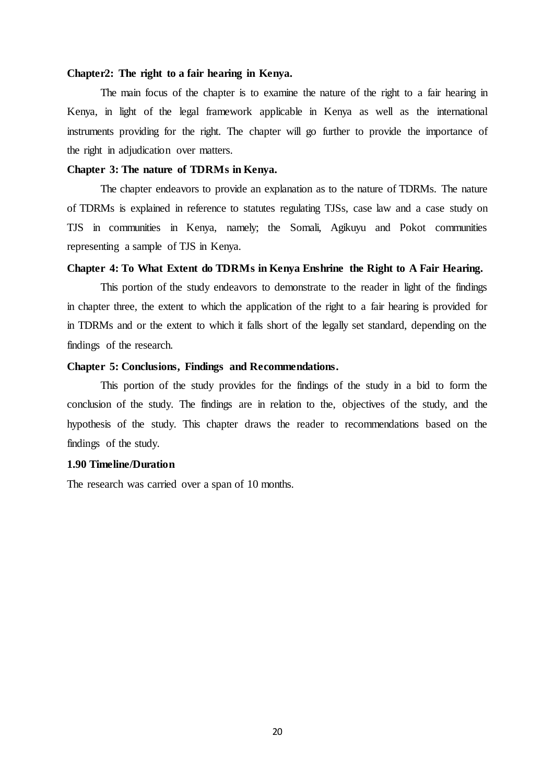#### <span id="page-19-0"></span>**Chapter2: The right to a fair hearing in Kenya.**

<span id="page-19-1"></span>The main focus of the chapter is to examine the nature of the right to a fair hearing in Kenya, in light of the legal framework applicable in Kenya as well as the international instruments providing for the right. The chapter will go further to provide the importance of the right in adjudication over matters.

### **Chapter 3: The nature of TDRMs in Kenya.**

<span id="page-19-2"></span>The chapter endeavors to provide an explanation as to the nature of TDRMs. The nature of TDRMs is explained in reference to statutes regulating TJSs, case law and a case study on TJS in communities in Kenya, namely; the Somali, Agikuyu and Pokot communities representing a sample of TJS in Kenya.

#### **Chapter 4: To What Extent do TDRMs in Kenya Enshrine the Right to A Fair Hearing.**

<span id="page-19-3"></span>This portion of the study endeavors to demonstrate to the reader in light of the findings in chapter three, the extent to which the application of the right to a fair hearing is provided for in TDRMs and or the extent to which it falls short of the legally set standard, depending on the findings of the research.

#### **Chapter 5: Conclusions, Findings and Recommendations.**

<span id="page-19-4"></span>This portion of the study provides for the findings of the study in a bid to form the conclusion of the study. The findings are in relation to the, objectives of the study, and the hypothesis of the study. This chapter draws the reader to recommendations based on the findings of the study.

# **1.90 Timeline/Duration**

The research was carried over a span of 10 months.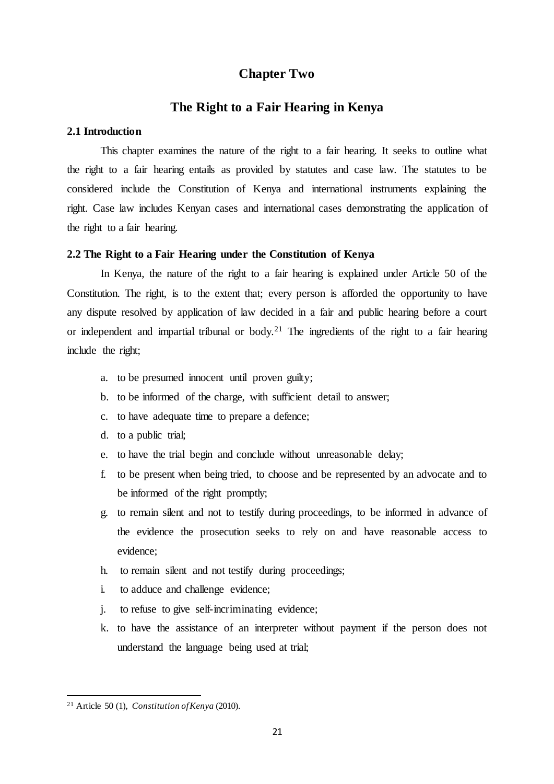# **Chapter Two**

# **The Right to a Fair Hearing in Kenya**

#### <span id="page-20-2"></span><span id="page-20-1"></span><span id="page-20-0"></span>**2.1 Introduction**

This chapter examines the nature of the right to a fair hearing. It seeks to outline what the right to a fair hearing entails as provided by statutes and case law. The statutes to be considered include the Constitution of Kenya and international instruments explaining the right. Case law includes Kenyan cases and international cases demonstrating the application of the right to a fair hearing.

#### <span id="page-20-3"></span>**2.2 The Right to a Fair Hearing under the Constitution of Kenya**

In Kenya, the nature of the right to a fair hearing is explained under Article 50 of the Constitution. The right, is to the extent that; every person is afforded the opportunity to have any dispute resolved by application of law decided in a fair and public hearing before a court or independent and impartial tribunal or body.<sup>21</sup> The ingredients of the right to a fair hearing include the right;

- a. to be presumed innocent until proven guilty;
- b. to be informed of the charge, with sufficient detail to answer;
- c. to have adequate time to prepare a defence;
- d. to a public trial;
- e. to have the trial begin and conclude without unreasonable delay;
- f. to be present when being tried, to choose and be represented by an advocate and to be informed of the right promptly;
- g. to remain silent and not to testify during proceedings, to be informed in advance of the evidence the prosecution seeks to rely on and have reasonable access to evidence;
- h. to remain silent and not testify during proceedings;
- i. to adduce and challenge evidence;
- j. to refuse to give self-incriminating evidence;
- k. to have the assistance of an interpreter without payment if the person does not understand the language being used at trial;

<sup>21</sup> Article 50 (1), *Constitution of Kenya* (2010).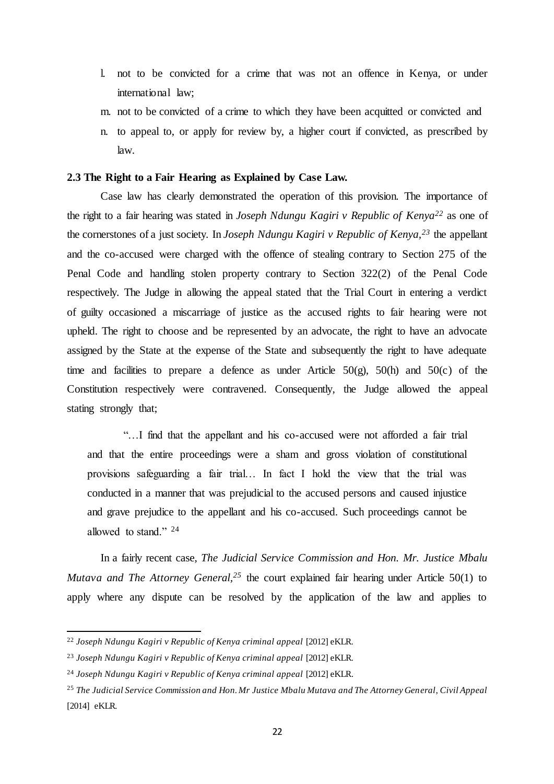- l. not to be convicted for a crime that was not an offence in Kenya, or under international law;
- m. not to be convicted of a crime to which they have been acquitted or convicted and
- <span id="page-21-0"></span>n. to appeal to, or apply for review by, a higher court if convicted, as prescribed by law.

#### **2.3 The Right to a Fair Hearing as Explained by Case Law.**

Case law has clearly demonstrated the operation of this provision. The importance of the right to a fair hearing was stated in *Joseph Ndungu Kagiri v Republic of Kenya<sup>22</sup>* as one of the cornerstones of a just society. In *Joseph Ndungu Kagiri v Republic of Kenya,<sup>23</sup>* the appellant and the co-accused were charged with the offence of stealing contrary to Section 275 of the Penal Code and handling stolen property contrary to Section 322(2) of the Penal Code respectively. The Judge in allowing the appeal stated that the Trial Court in entering a verdict of guilty occasioned a miscarriage of justice as the accused rights to fair hearing were not upheld. The right to choose and be represented by an advocate, the right to have an advocate assigned by the State at the expense of the State and subsequently the right to have adequate time and facilities to prepare a defence as under Article  $50(g)$ ,  $50(h)$  and  $50(c)$  of the Constitution respectively were contravened. Consequently, the Judge allowed the appeal stating strongly that;

"…I find that the appellant and his co-accused were not afforded a fair trial and that the entire proceedings were a sham and gross violation of constitutional provisions safeguarding a fair trial… In fact I hold the view that the trial was conducted in a manner that was prejudicial to the accused persons and caused injustice and grave prejudice to the appellant and his co-accused. Such proceedings cannot be allowed to stand." <sup>24</sup>

In a fairly recent case, *The Judicial Service Commission and Hon. Mr. Justice Mbalu Mutava and The Attorney General*<sup>25</sup> the court explained fair hearing under Article 50(1) to apply where any dispute can be resolved by the application of the law and applies to

<sup>&</sup>lt;sup>22</sup> Joseph Ndungu Kagiri v Republic of Kenya criminal appeal [2012] eKLR.

<sup>&</sup>lt;sup>23</sup> *Joseph Ndungu Kagiri v Republic of Kenya criminal appeal* [2012] eKLR.

<sup>&</sup>lt;sup>24</sup> Joseph Ndungu Kagiri v Republic of Kenya criminal appeal [2012] eKLR.

<sup>25</sup> *The Judicial Service Commission and Hon. Mr Justice Mbalu Mutava and The Attorney General, Civil Appeal*  [2014] eKLR*.*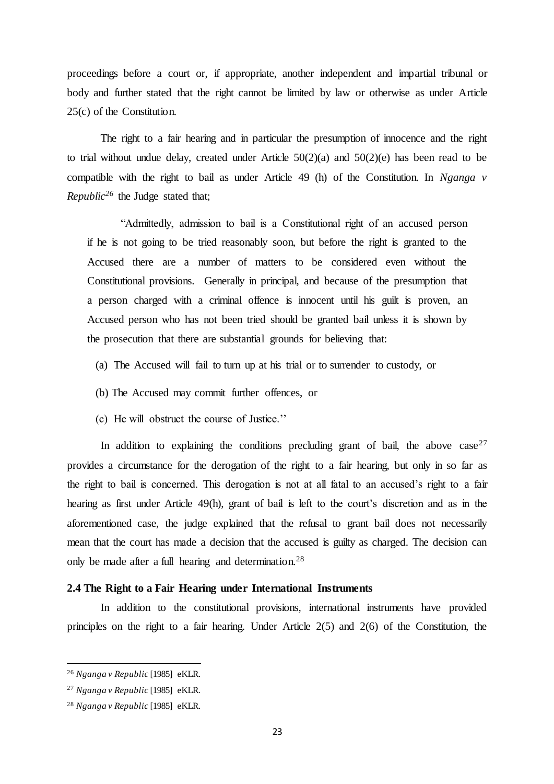proceedings before a court or, if appropriate, another independent and impartial tribunal or body and further stated that the right cannot be limited by law or otherwise as under Article 25(c) of the Constitution.

The right to a fair hearing and in particular the presumption of innocence and the right to trial without undue delay, created under Article  $50(2)(a)$  and  $50(2)(e)$  has been read to be compatible with the right to bail as under Article 49 (h) of the Constitution. In *Nganga v Republic*<sup>26</sup> the Judge stated that;

"Admittedly, admission to bail is a Constitutional right of an accused person if he is not going to be tried reasonably soon, but before the right is granted to the Accused there are a number of matters to be considered even without the Constitutional provisions. Generally in principal, and because of the presumption that a person charged with a criminal offence is innocent until his guilt is proven, an Accused person who has not been tried should be granted bail unless it is shown by the prosecution that there are substantial grounds for believing that:

- (a) The Accused will fail to turn up at his trial or to surrender to custody, or
- (b) The Accused may commit further offences, or
- (c) He will obstruct the course of Justice.''

In addition to explaining the conditions precluding grant of bail, the above  $case^{27}$ provides a circumstance for the derogation of the right to a fair hearing, but only in so far as the right to bail is concerned. This derogation is not at all fatal to an accused's right to a fair hearing as first under Article 49(h), grant of bail is left to the court's discretion and as in the aforementioned case, the judge explained that the refusal to grant bail does not necessarily mean that the court has made a decision that the accused is guilty as charged. The decision can only be made after a full hearing and determination.<sup>28</sup>

#### <span id="page-22-0"></span>**2.4 The Right to a Fair Hearing under International Instruments**

In addition to the constitutional provisions, international instruments have provided principles on the right to a fair hearing. Under Article  $2(5)$  and  $2(6)$  of the Constitution, the

<sup>26</sup> *Nganga v Republic* [1985] eKLR.

<sup>27</sup> *Nganga v Republic* [1985] eKLR.

<sup>28</sup> *Nganga v Republic* [1985] eKLR.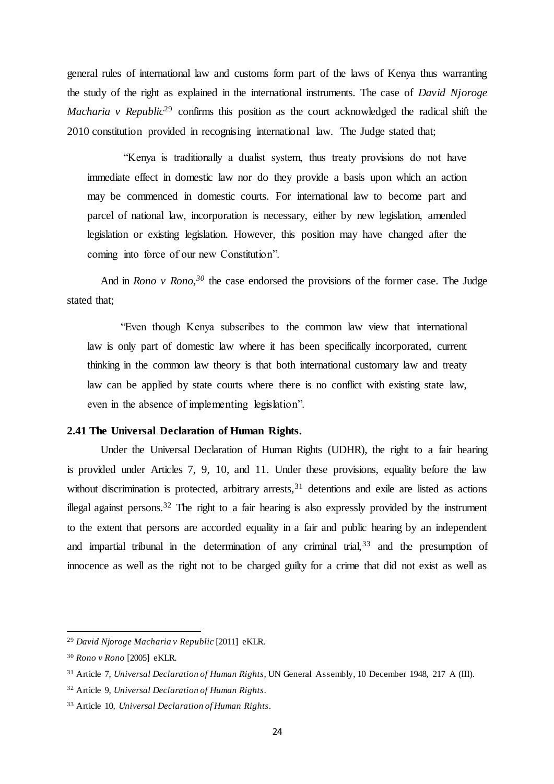general rules of international law and customs form part of the laws of Kenya thus warranting the study of the right as explained in the international instruments. The case of *David Njoroge Macharia v Republic*<sup>29</sup> confirms this position as the court acknowledged the radical shift the 2010 constitution provided in recognising international law. The Judge stated that;

"Kenya is traditionally a dualist system, thus treaty provisions do not have immediate effect in domestic law nor do they provide a basis upon which an action may be commenced in domestic courts. For international law to become part and parcel of national law, incorporation is necessary, either by new legislation, amended legislation or existing legislation. However, this position may have changed after the coming into force of our new Constitution".

And in *Rono v Rono,<sup>30</sup>* the case endorsed the provisions of the former case. The Judge stated that;

"Even though Kenya subscribes to the common law view that international law is only part of domestic law where it has been specifically incorporated, current thinking in the common law theory is that both international customary law and treaty law can be applied by state courts where there is no conflict with existing state law, even in the absence of implementing legislation".

# <span id="page-23-0"></span>**2.41 The Universal Declaration of Human Rights.**

Under the Universal Declaration of Human Rights (UDHR), the right to a fair hearing is provided under Articles 7, 9, 10, and 11. Under these provisions, equality before the law without discrimination is protected, arbitrary arrests,<sup>31</sup> detentions and exile are listed as actions illegal against persons.<sup>32</sup> The right to a fair hearing is also expressly provided by the instrument to the extent that persons are accorded equality in a fair and public hearing by an independent and impartial tribunal in the determination of any criminal trial,<sup>33</sup> and the presumption of innocence as well as the right not to be charged guilty for a crime that did not exist as well as

<sup>29</sup> *David Njoroge Macharia v Republic* [2011] eKLR.

<sup>30</sup> *Rono v Rono* [2005] eKLR.

<sup>31</sup> Article 7, *Universal Declaration of Human Rights*, UN General Assembly, 10 December 1948, 217 A (III).

<sup>32</sup> Article 9, *Universal Declaration of Human Rights*.

<sup>33</sup> Article 10, *Universal Declaration of Human Rights*.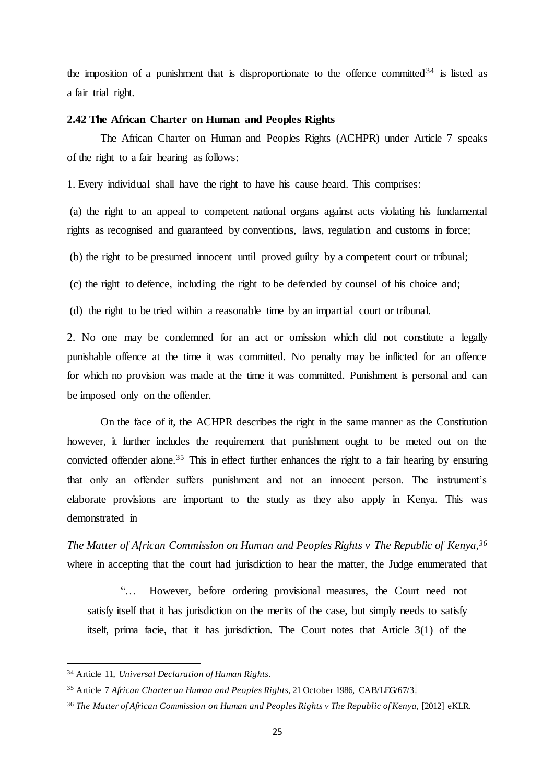<span id="page-24-0"></span>the imposition of a punishment that is disproportionate to the offence committed<sup>34</sup> is listed as a fair trial right.

### **2.42 The African Charter on Human and Peoples Rights**

The African Charter on Human and Peoples Rights (ACHPR) under Article 7 speaks of the right to a fair hearing as follows:

1. Every individual shall have the right to have his cause heard. This comprises:

(a) the right to an appeal to competent national organs against acts violating his fundamental rights as recognised and guaranteed by conventions, laws, regulation and customs in force;

(b) the right to be presumed innocent until proved guilty by a competent court or tribunal;

(c) the right to defence, including the right to be defended by counsel of his choice and;

(d) the right to be tried within a reasonable time by an impartial court or tribunal.

2. No one may be condemned for an act or omission which did not constitute a legally punishable offence at the time it was committed. No penalty may be inflicted for an offence for which no provision was made at the time it was committed. Punishment is personal and can be imposed only on the offender.

On the face of it, the ACHPR describes the right in the same manner as the Constitution however, it further includes the requirement that punishment ought to be meted out on the convicted offender alone.<sup>35</sup> This in effect further enhances the right to a fair hearing by ensuring that only an offender suffers punishment and not an innocent person. The instrument's elaborate provisions are important to the study as they also apply in Kenya. This was demonstrated in

*The Matter of African Commission on Human and Peoples Rights v The Republic of Kenya,<sup>36</sup>* where in accepting that the court had jurisdiction to hear the matter, the Judge enumerated that

However, before ordering provisional measures, the Court need not satisfy itself that it has jurisdiction on the merits of the case, but simply needs to satisfy itself, prima facie, that it has jurisdiction. The Court notes that Article 3(1) of the

<sup>34</sup> Article 11, *Universal Declaration of Human Rights*.

<sup>35</sup> Article 7 *African Charter on Human and Peoples Rights*, 21 October 1986, CAB/LEG/67/3.

<sup>&</sup>lt;sup>36</sup> The Matter of African Commission on Human and Peoples Rights v The Republic of Kenya, [2012] eKLR.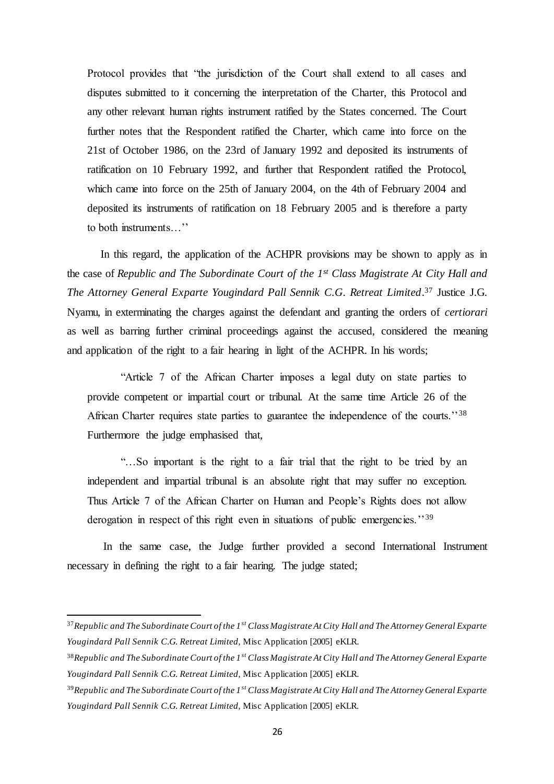Protocol provides that "the jurisdiction of the Court shall extend to all cases and disputes submitted to it concerning the interpretation of the Charter, this Protocol and any other relevant human rights instrument ratified by the States concerned. The Court further notes that the Respondent ratified the Charter, which came into force on the 21st of October 1986, on the 23rd of January 1992 and deposited its instruments of ratification on 10 February 1992, and further that Respondent ratified the Protocol, which came into force on the 25th of January 2004, on the 4th of February 2004 and deposited its instruments of ratification on 18 February 2005 and is therefore a party to both instruments…''

In this regard, the application of the ACHPR provisions may be shown to apply as in the case of *Republic and The Subordinate Court of the 1st Class Magistrate At City Hall and The Attorney General Exparte Yougindard Pall Sennik C.G. Retreat Limited*. <sup>37</sup> Justice J.G. Nyamu, in exterminating the charges against the defendant and granting the orders of *certiorari* as well as barring further criminal proceedings against the accused, considered the meaning and application of the right to a fair hearing in light of the ACHPR. In his words;

"Article 7 of the African Charter imposes a legal duty on state parties to provide competent or impartial court or tribunal. At the same time Article 26 of the African Charter requires state parties to guarantee the independence of the courts."<sup>38</sup> Furthermore the judge emphasised that,

"…So important is the right to a fair trial that the right to be tried by an independent and impartial tribunal is an absolute right that may suffer no exception. Thus Article 7 of the African Charter on Human and People's Rights does not allow derogation in respect of this right even in situations of public emergencies.<sup>''39</sup>

In the same case, the Judge further provided a second International Instrument necessary in defining the right to a fair hearing. The judge stated;

- <sup>38</sup>*Republic and The Subordinate Court of the 1st Class Magistrate At City Hall and The Attorney General Exparte Yougindard Pall Sennik C.G. Retreat Limited,* Misc Application [2005] eKLR.
- <sup>39</sup>*Republic and The Subordinate Court of the 1st Class Magistrate At City Hall and The Attorney General Exparte Yougindard Pall Sennik C.G. Retreat Limited,* Misc Application [2005] eKLR.

<sup>37</sup>*Republic and The Subordinate Court of the 1st Class Magistrate At City Hall and The Attorney General Exparte Yougindard Pall Sennik C.G. Retreat Limited,* Misc Application [2005] eKLR.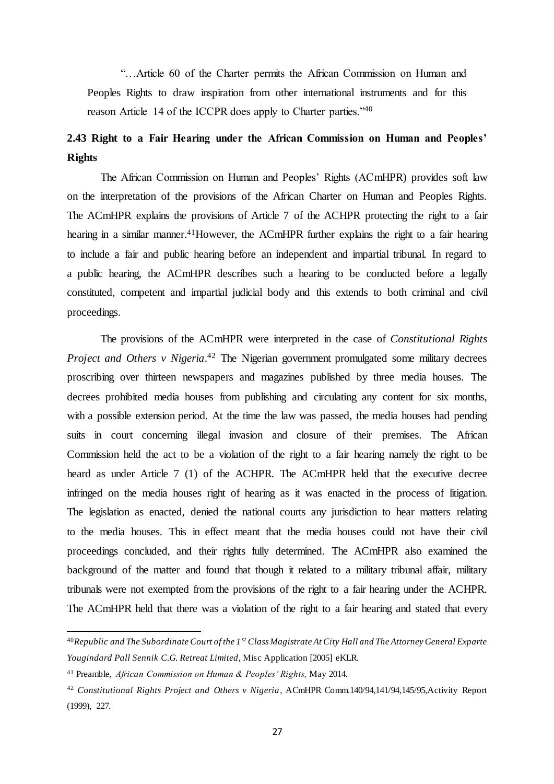<span id="page-26-0"></span>"…Article 60 of the Charter permits the African Commission on Human and Peoples Rights to draw inspiration from other international instruments and for this reason Article 14 of the ICCPR does apply to Charter parties."<sup>40</sup>

# **2.43 Right to a Fair Hearing under the African Commission on Human and Peoples' Rights**

The African Commission on Human and Peoples' Rights (ACmHPR) provides soft law on the interpretation of the provisions of the African Charter on Human and Peoples Rights. The ACmHPR explains the provisions of Article 7 of the ACHPR protecting the right to a fair hearing in a similar manner.<sup>41</sup>However, the ACmHPR further explains the right to a fair hearing to include a fair and public hearing before an independent and impartial tribunal. In regard to a public hearing, the ACmHPR describes such a hearing to be conducted before a legally constituted, competent and impartial judicial body and this extends to both criminal and civil proceedings.

The provisions of the ACmHPR were interpreted in the case of *Constitutional Rights*  Project and Others v Nigeria.<sup>42</sup> The Nigerian government promulgated some military decrees proscribing over thirteen newspapers and magazines published by three media houses. The decrees prohibited media houses from publishing and circulating any content for six months, with a possible extension period. At the time the law was passed, the media houses had pending suits in court concerning illegal invasion and closure of their premises. The African Commission held the act to be a violation of the right to a fair hearing namely the right to be heard as under Article 7 (1) of the ACHPR. The ACmHPR held that the executive decree infringed on the media houses right of hearing as it was enacted in the process of litigation. The legislation as enacted, denied the national courts any jurisdiction to hear matters relating to the media houses. This in effect meant that the media houses could not have their civil proceedings concluded, and their rights fully determined. The ACmHPR also examined the background of the matter and found that though it related to a military tribunal affair, military tribunals were not exempted from the provisions of the right to a fair hearing under the ACHPR. The ACmHPR held that there was a violation of the right to a fair hearing and stated that every

<sup>40</sup>*Republic and The Subordinate Court of the 1st Class Magistrate At City Hall and The Attorney General Exparte Yougindard Pall Sennik C.G. Retreat Limited,* Misc Application [2005] eKLR.

<sup>41</sup> Preamble, *African Commission on Human & Peoples' Rights,* May 2014.

<sup>42</sup> *Constitutional Rights Project and Others v Nigeria*, ACmHPR Comm.140/94,141/94,145/95,Activity Report (1999), 227*.*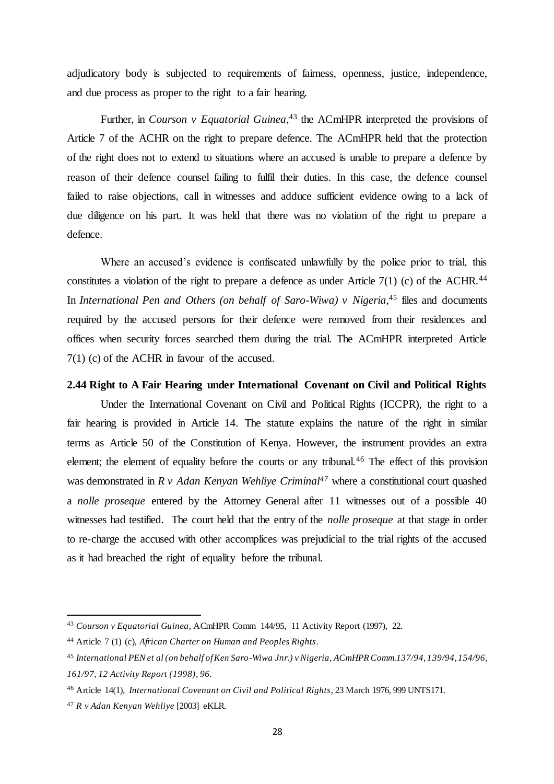adjudicatory body is subjected to requirements of fairness, openness, justice, independence, and due process as proper to the right to a fair hearing.

Further, in *Courson v Equatorial Guinea*,<sup>43</sup> the ACmHPR interpreted the provisions of Article 7 of the ACHR on the right to prepare defence. The ACmHPR held that the protection of the right does not to extend to situations where an accused is unable to prepare a defence by reason of their defence counsel failing to fulfil their duties. In this case, the defence counsel failed to raise objections, call in witnesses and adduce sufficient evidence owing to a lack of due diligence on his part. It was held that there was no violation of the right to prepare a defence.

Where an accused's evidence is confiscated unlawfully by the police prior to trial, this constitutes a violation of the right to prepare a defence as under Article  $7(1)$  (c) of the ACHR.<sup>44</sup> In *International Pen and Others (on behalf of Saro-Wiwa)* v Nigeria,<sup>45</sup> files and documents required by the accused persons for their defence were removed from their residences and offices when security forces searched them during the trial. The ACmHPR interpreted Article 7(1) (c) of the ACHR in favour of the accused.

# <span id="page-27-0"></span>**2.44 Right to A Fair Hearing under International Covenant on Civil and Political Rights**

Under the International Covenant on Civil and Political Rights (ICCPR), the right to a fair hearing is provided in Article 14. The statute explains the nature of the right in similar terms as Article 50 of the Constitution of Kenya. However, the instrument provides an extra element; the element of equality before the courts or any tribunal.<sup>46</sup> The effect of this provision was demonstrated in *R v Adan Kenyan Wehliye Criminal<sup>47</sup>* where a constitutional court quashed a *nolle proseque* entered by the Attorney General after 11 witnesses out of a possible 40 witnesses had testified. The court held that the entry of the *nolle proseque* at that stage in order to re-charge the accused with other accomplices was prejudicial to the trial rights of the accused as it had breached the right of equality before the tribunal.

<sup>43</sup> *Courson v Equatorial Guinea,* ACmHPR Comm 144/95, 11 Activity Report (1997), 22.

<sup>44</sup> Article 7 (1) (c), *African Charter on Human and Peoples Rights*.

<sup>45</sup> *International PEN et al (on behalf of Ken Saro-Wiwa Jnr.) v Nigeria, ACmHPR Comm.137/94, 139/94, 154/96, 161/97, 12 Activity Report (1998), 96.*

<sup>46</sup> Article 14(1), *International Covenant on Civil and Political Rights*, 23 March 1976, 999 UNTS171.

<sup>47</sup> *R v Adan Kenyan Wehliye* [2003] eKLR.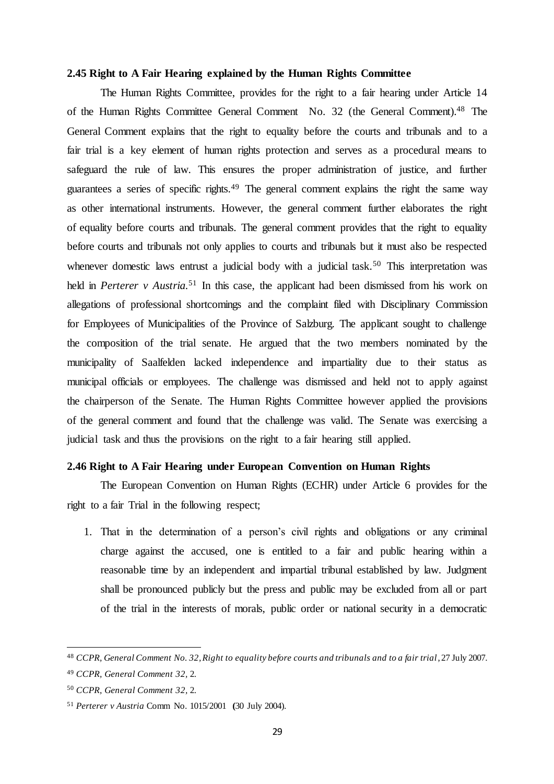#### <span id="page-28-0"></span>**2.45 Right to A Fair Hearing explained by the Human Rights Committee**

The Human Rights Committee, provides for the right to a fair hearing under Article 14 of the Human Rights Committee General Comment No. 32 (the General Comment). <sup>48</sup> The General Comment explains that the right to equality before the courts and tribunals and to a fair trial is a key element of human rights protection and serves as a procedural means to safeguard the rule of law. This ensures the proper administration of justice, and further guarantees a series of specific rights.<sup>49</sup> The general comment explains the right the same way as other international instruments. However, the general comment further elaborates the right of equality before courts and tribunals. The general comment provides that the right to equality before courts and tribunals not only applies to courts and tribunals but it must also be respected whenever domestic laws entrust a judicial body with a judicial task.<sup>50</sup> This interpretation was held in *Perterer v Austria*.<sup>51</sup> In this case, the applicant had been dismissed from his work on allegations of professional shortcomings and the complaint filed with Disciplinary Commission for Employees of Municipalities of the Province of Salzburg. The applicant sought to challenge the composition of the trial senate. He argued that the two members nominated by the municipality of Saalfelden lacked independence and impartiality due to their status as municipal officials or employees. The challenge was dismissed and held not to apply against the chairperson of the Senate. The Human Rights Committee however applied the provisions of the general comment and found that the challenge was valid. The Senate was exercising a judicial task and thus the provisions on the right to a fair hearing still applied.

## <span id="page-28-1"></span>**2.46 Right to A Fair Hearing under European Convention on Human Rights**

The European Convention on Human Rights (ECHR) under Article 6 provides for the right to a fair Trial in the following respect;

1. That in the determination of a person's civil rights and obligations or any criminal charge against the accused, one is entitled to a fair and public hearing within a reasonable time by an independent and impartial tribunal established by law. Judgment shall be pronounced publicly but the press and public may be excluded from all or part of the trial in the interests of morals, public order or national security in a democratic

<sup>48</sup> *CCPR, General Comment No. 32, Right to equality before courts and tribunals and to a fair trial*, 27 July 2007.

<sup>49</sup> *CCPR, General Comment 32,* 2.

<sup>50</sup> *CCPR, General Comment 32,* 2.

<sup>51</sup> *Perterer v Austria* Comm No. 1015/2001 **(**30 July 2004).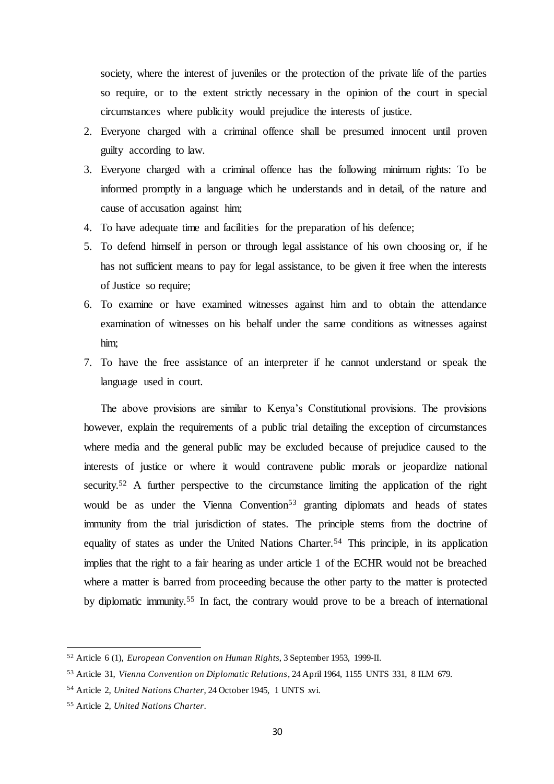society, where the interest of juveniles or the protection of the private life of the parties so require, or to the extent strictly necessary in the opinion of the court in special circumstances where publicity would prejudice the interests of justice.

- 2. Everyone charged with a criminal offence shall be presumed innocent until proven guilty according to law.
- 3. Everyone charged with a criminal offence has the following minimum rights: To be informed promptly in a language which he understands and in detail, of the nature and cause of accusation against him;
- 4. To have adequate time and facilities for the preparation of his defence;
- 5. To defend himself in person or through legal assistance of his own choosing or, if he has not sufficient means to pay for legal assistance, to be given it free when the interests of Justice so require;
- 6. To examine or have examined witnesses against him and to obtain the attendance examination of witnesses on his behalf under the same conditions as witnesses against him;
- 7. To have the free assistance of an interpreter if he cannot understand or speak the language used in court.

The above provisions are similar to Kenya's Constitutional provisions. The provisions however, explain the requirements of a public trial detailing the exception of circumstances where media and the general public may be excluded because of prejudice caused to the interests of justice or where it would contravene public morals or jeopardize national security.<sup>52</sup> A further perspective to the circumstance limiting the application of the right would be as under the Vienna Convention<sup>53</sup> granting diplomats and heads of states immunity from the trial jurisdiction of states. The principle stems from the doctrine of equality of states as under the United Nations Charter.<sup>54</sup> This principle, in its application implies that the right to a fair hearing as under article 1 of the ECHR would not be breached where a matter is barred from proceeding because the other party to the matter is protected by diplomatic immunity.<sup>55</sup> In fact, the contrary would prove to be a breach of international

<sup>52</sup> Article 6 (1), *European Convention on Human Rights*, 3 September 1953, 1999-II.

<sup>53</sup> Article 31, *Vienna Convention on Diplomatic Relations*, 24 April 1964, 1155 UNTS 331, 8 ILM 679.

<sup>54</sup> Article 2, *United Nations Charter*, 24 October 1945, 1 UNTS xvi.

<sup>55</sup> Article 2, *United Nations Charter*.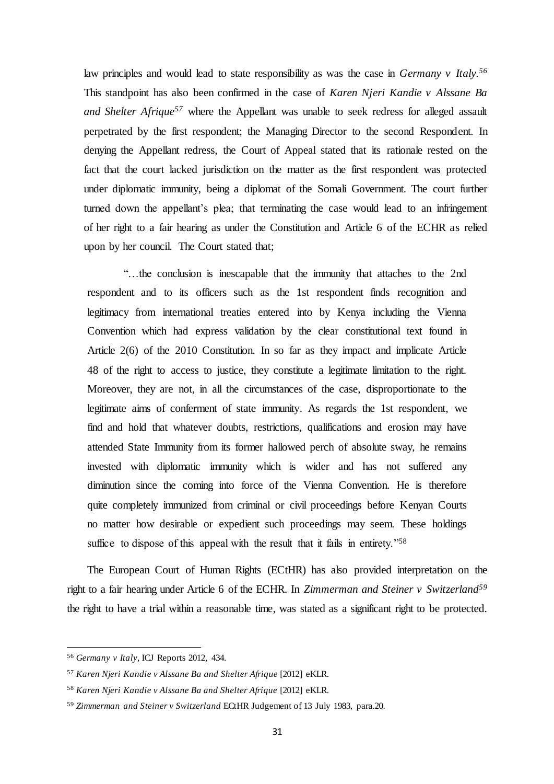law principles and would lead to state responsibility as was the case in *Germany v Italy.<sup>56</sup>* This standpoint has also been confirmed in the case of *Karen Njeri Kandie v Alssane Ba and Shelter Afrique<sup>57</sup>* where the Appellant was unable to seek redress for alleged assault perpetrated by the first respondent; the Managing Director to the second Respondent. In denying the Appellant redress, the Court of Appeal stated that its rationale rested on the fact that the court lacked jurisdiction on the matter as the first respondent was protected under diplomatic immunity, being a diplomat of the Somali Government. The court further turned down the appellant's plea; that terminating the case would lead to an infringement of her right to a fair hearing as under the Constitution and Article 6 of the ECHR as relied upon by her council. The Court stated that;

"…the conclusion is inescapable that the immunity that attaches to the 2nd respondent and to its officers such as the 1st respondent finds recognition and legitimacy from international treaties entered into by Kenya including the Vienna Convention which had express validation by the clear constitutional text found in Article 2(6) of the 2010 Constitution. In so far as they impact and implicate Article 48 of the right to access to justice, they constitute a legitimate limitation to the right. Moreover, they are not, in all the circumstances of the case, disproportionate to the legitimate aims of conferment of state immunity. As regards the 1st respondent, we find and hold that whatever doubts, restrictions, qualifications and erosion may have attended State Immunity from its former hallowed perch of absolute sway, he remains invested with diplomatic immunity which is wider and has not suffered any diminution since the coming into force of the Vienna Convention. He is therefore quite completely immunized from criminal or civil proceedings before Kenyan Courts no matter how desirable or expedient such proceedings may seem. These holdings suffice to dispose of this appeal with the result that it fails in entirety.<sup>758</sup>

The European Court of Human Rights (ECtHR) has also provided interpretation on the right to a fair hearing under Article 6 of the ECHR. In *Zimmerman and Steiner v Switzerland<sup>59</sup>* the right to have a trial within a reasonable time, was stated as a significant right to be protected.

<sup>56</sup> *Germany v Italy,* ICJ Reports 2012, 434.

<sup>57</sup> *Karen Njeri Kandie v Alssane Ba and Shelter Afrique* [2012] eKLR.

<sup>58</sup> *Karen Njeri Kandie v Alssane Ba and Shelter Afrique* [2012] eKLR.

<sup>59</sup> *Zimmerman and Steiner v Switzerland* ECtHR Judgement of 13 July 1983, para.20.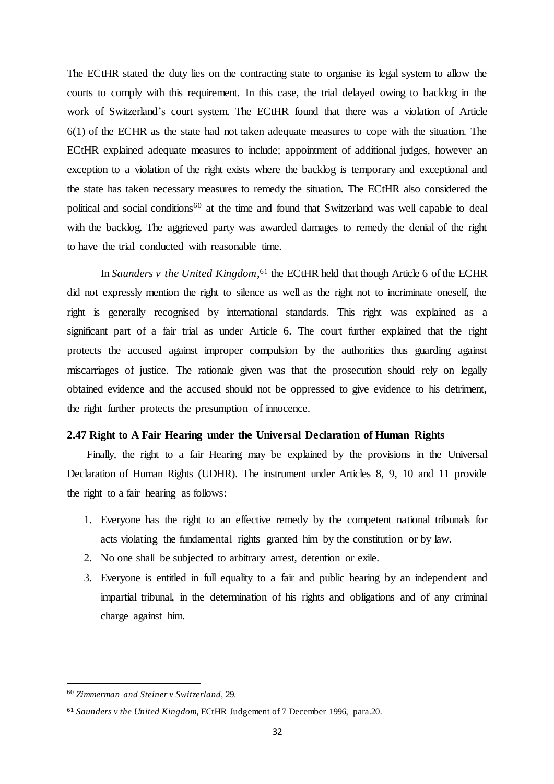The ECtHR stated the duty lies on the contracting state to organise its legal system to allow the courts to comply with this requirement. In this case, the trial delayed owing to backlog in the work of Switzerland's court system. The ECtHR found that there was a violation of Article 6(1) of the ECHR as the state had not taken adequate measures to cope with the situation. The ECtHR explained adequate measures to include; appointment of additional judges, however an exception to a violation of the right exists where the backlog is temporary and exceptional and the state has taken necessary measures to remedy the situation. The ECtHR also considered the political and social conditions<sup>60</sup> at the time and found that Switzerland was well capable to deal with the backlog. The aggrieved party was awarded damages to remedy the denial of the right to have the trial conducted with reasonable time.

In *Saunders v the United Kingdom*, <sup>61</sup> the ECtHR held that though Article 6 of the ECHR did not expressly mention the right to silence as well as the right not to incriminate oneself, the right is generally recognised by international standards. This right was explained as a significant part of a fair trial as under Article 6. The court further explained that the right protects the accused against improper compulsion by the authorities thus guarding against miscarriages of justice. The rationale given was that the prosecution should rely on legally obtained evidence and the accused should not be oppressed to give evidence to his detriment, the right further protects the presumption of innocence.

# <span id="page-31-0"></span>**2.47 Right to A Fair Hearing under the Universal Declaration of Human Rights**

Finally, the right to a fair Hearing may be explained by the provisions in the Universal Declaration of Human Rights (UDHR). The instrument under Articles 8, 9, 10 and 11 provide the right to a fair hearing as follows:

- 1. Everyone has the right to an effective remedy by the competent national tribunals for acts violating the fundamental rights granted him by the constitution or by law.
- 2. No one shall be subjected to arbitrary arrest, detention or exile.
- 3. Everyone is entitled in full equality to a fair and public hearing by an independent and impartial tribunal, in the determination of his rights and obligations and of any criminal charge against him.

<sup>60</sup> *Zimmerman and Steiner v Switzerland,* 29.

<sup>61</sup> *Saunders v the United Kingdom,* ECtHR Judgement of 7 December 1996, para.20.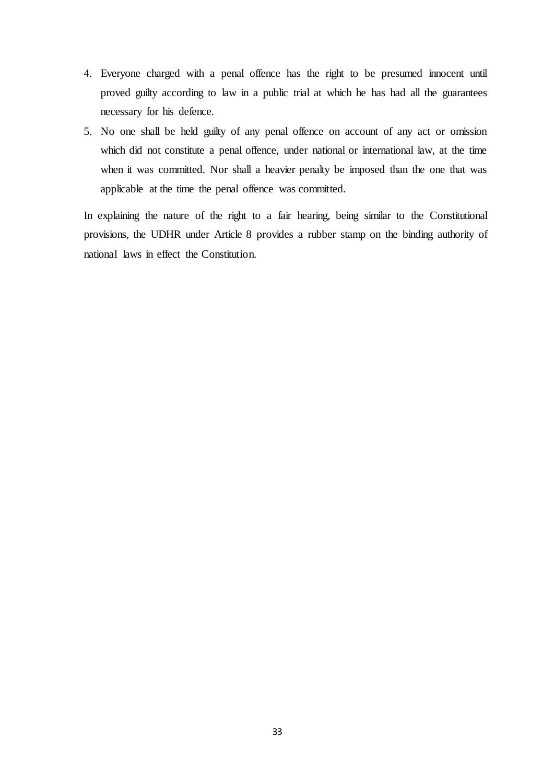- 4. Everyone charged with a penal offence has the right to be presumed innocent until proved guilty according to law in a public trial at which he has had all the guarantees necessary for his defence.
- 5. No one shall be held guilty of any penal offence on account of any act or omission which did not constitute a penal offence, under national or international law, at the time when it was committed. Nor shall a heavier penalty be imposed than the one that was applicable at the time the penal offence was committed.

In explaining the nature of the right to a fair hearing, being similar to the Constitutional provisions, the UDHR under Article 8 provides a rubber stamp on the binding authority of national laws in effect the Constitution.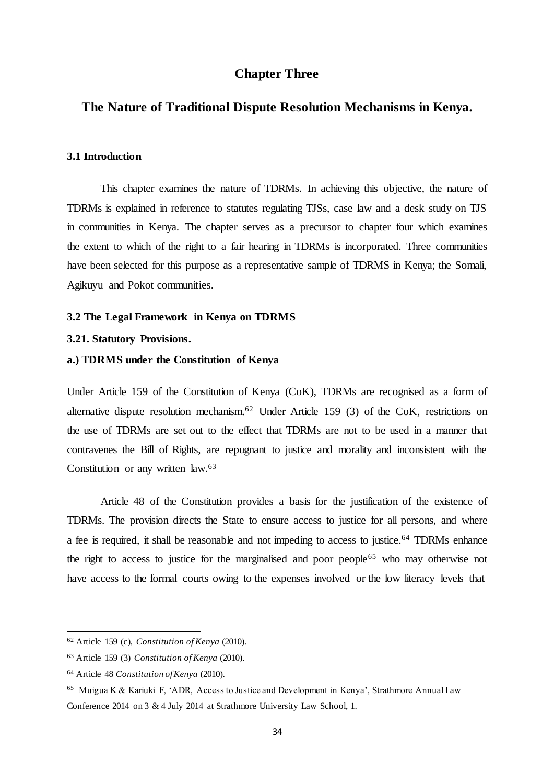# **Chapter Three**

# <span id="page-33-2"></span><span id="page-33-1"></span><span id="page-33-0"></span>**The Nature of Traditional Dispute Resolution Mechanisms in Kenya.**

### **3.1 Introduction**

This chapter examines the nature of TDRMs. In achieving this objective, the nature of TDRMs is explained in reference to statutes regulating TJSs, case law and a desk study on TJS in communities in Kenya. The chapter serves as a precursor to chapter four which examines the extent to which of the right to a fair hearing in TDRMs is incorporated. Three communities have been selected for this purpose as a representative sample of TDRMS in Kenya; the Somali, Agikuyu and Pokot communities.

#### <span id="page-33-4"></span><span id="page-33-3"></span>**3.2 The Legal Framework in Kenya on TDRMS**

#### **3.21. Statutory Provisions.**

# **a.) TDRMS under the Constitution of Kenya**

Under Article 159 of the Constitution of Kenya (CoK), TDRMs are recognised as a form of alternative dispute resolution mechanism.<sup>62</sup> Under Article 159 (3) of the CoK, restrictions on the use of TDRMs are set out to the effect that TDRMs are not to be used in a manner that contravenes the Bill of Rights, are repugnant to justice and morality and inconsistent with the Constitution or any written law.<sup>63</sup>

Article 48 of the Constitution provides a basis for the justification of the existence of TDRMs. The provision directs the State to ensure access to justice for all persons, and where a fee is required, it shall be reasonable and not impeding to access to justice.<sup>64</sup> TDRMs enhance the right to access to justice for the marginalised and poor people<sup>65</sup> who may otherwise not have access to the formal courts owing to the expenses involved or the low literacy levels that

<sup>62</sup> Article 159 (c), *Constitution of Kenya* (2010).

<sup>63</sup> Article 159 (3) *Constitution of Kenya* (2010).

<sup>64</sup> Article 48 *Constitution of Kenya* (2010).

<sup>&</sup>lt;sup>65</sup> Muigua K & Kariuki F, 'ADR, Access to Justice and Development in Kenya', Strathmore Annual Law Conference 2014 on 3 & 4 July 2014 at Strathmore University Law School, 1.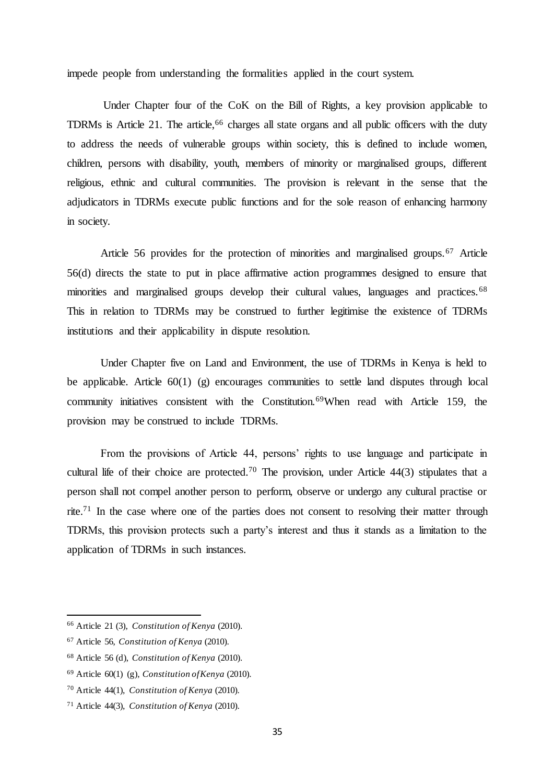impede people from understanding the formalities applied in the court system.

Under Chapter four of the CoK on the Bill of Rights, a key provision applicable to TDRMs is Article 21. The article,<sup>66</sup> charges all state organs and all public officers with the duty to address the needs of vulnerable groups within society, this is defined to include women, children, persons with disability, youth, members of minority or marginalised groups, different religious, ethnic and cultural communities. The provision is relevant in the sense that the adjudicators in TDRMs execute public functions and for the sole reason of enhancing harmony in society.

Article 56 provides for the protection of minorities and marginalised groups.<sup>67</sup> Article 56(d) directs the state to put in place affirmative action programmes designed to ensure that minorities and marginalised groups develop their cultural values, languages and practices. <sup>68</sup> This in relation to TDRMs may be construed to further legitimise the existence of TDRMs institutions and their applicability in dispute resolution.

Under Chapter five on Land and Environment, the use of TDRMs in Kenya is held to be applicable. Article  $60(1)$  (g) encourages communities to settle land disputes through local community initiatives consistent with the Constitution.<sup>69</sup>When read with Article 159, the provision may be construed to include TDRMs.

From the provisions of Article 44, persons' rights to use language and participate in cultural life of their choice are protected.<sup>70</sup> The provision, under Article  $44(3)$  stipulates that a person shall not compel another person to perform, observe or undergo any cultural practise or rite.<sup>71</sup> In the case where one of the parties does not consent to resolving their matter through TDRMs, this provision protects such a party's interest and thus it stands as a limitation to the application of TDRMs in such instances.

<sup>66</sup> Article 21 (3), *Constitution of Kenya* (2010).

<sup>67</sup> Article 56, *Constitution of Kenya* (2010).

<sup>68</sup> Article 56 (d), *Constitution of Kenya* (2010).

<sup>69</sup> Article 60(1) (g), *Constitution of Kenya* (2010).

<sup>70</sup> Article 44(1), *Constitution of Kenya* (2010).

<sup>71</sup> Article 44(3), *Constitution of Kenya* (2010).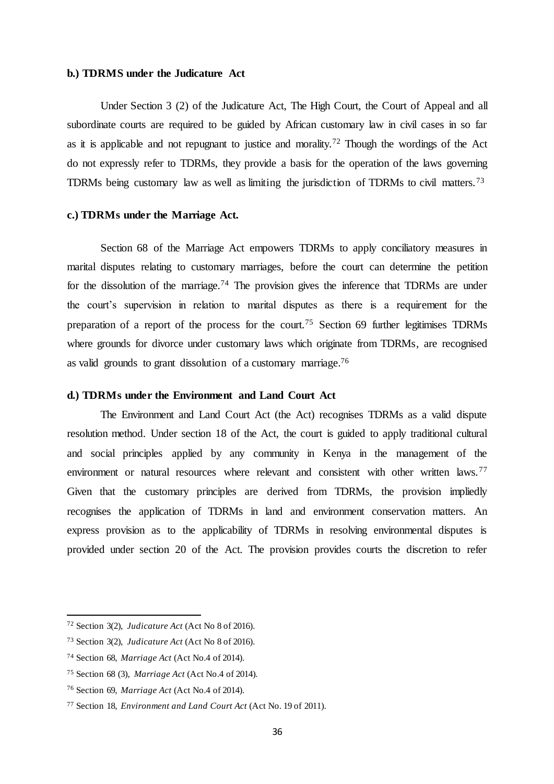#### **b.) TDRMS under the Judicature Act**

Under Section 3 (2) of the Judicature Act, The High Court, the Court of Appeal and all subordinate courts are required to be guided by African customary law in civil cases in so far as it is applicable and not repugnant to justice and morality.<sup>72</sup> Though the wordings of the Act do not expressly refer to TDRMs, they provide a basis for the operation of the laws governing TDRMs being customary law as well as limiting the jurisdiction of TDRMs to civil matters.<sup>73</sup>

### **c.) TDRMs under the Marriage Act.**

Section 68 of the Marriage Act empowers TDRMs to apply conciliatory measures in marital disputes relating to customary marriages, before the court can determine the petition for the dissolution of the marriage.<sup>74</sup> The provision gives the inference that TDRMs are under the court's supervision in relation to marital disputes as there is a requirement for the preparation of a report of the process for the court.<sup>75</sup> Section 69 further legitimises TDRMs where grounds for divorce under customary laws which originate from TDRMs, are recognised as valid grounds to grant dissolution of a customary marriage.<sup>76</sup>

#### **d.) TDRMs under the Environment and Land Court Act**

The Environment and Land Court Act (the Act) recognises TDRMs as a valid dispute resolution method. Under section 18 of the Act, the court is guided to apply traditional cultural and social principles applied by any community in Kenya in the management of the environment or natural resources where relevant and consistent with other written laws.<sup>77</sup> Given that the customary principles are derived from TDRMs, the provision impliedly recognises the application of TDRMs in land and environment conservation matters. An express provision as to the applicability of TDRMs in resolving environmental disputes is provided under section 20 of the Act. The provision provides courts the discretion to refer

<sup>72</sup> Section 3(2), *Judicature Act* (Act No 8 of 2016).

<sup>73</sup> Section 3(2), *Judicature Act* (Act No 8 of 2016).

<sup>74</sup> Section 68, *Marriage Act* (Act No.4 of 2014).

<sup>75</sup> Section 68 (3), *Marriage Act* (Act No.4 of 2014).

<sup>76</sup> Section 69, *Marriage Act* (Act No.4 of 2014).

<sup>77</sup> Section 18, *Environment and Land Court Act* (Act No. 19 of 2011).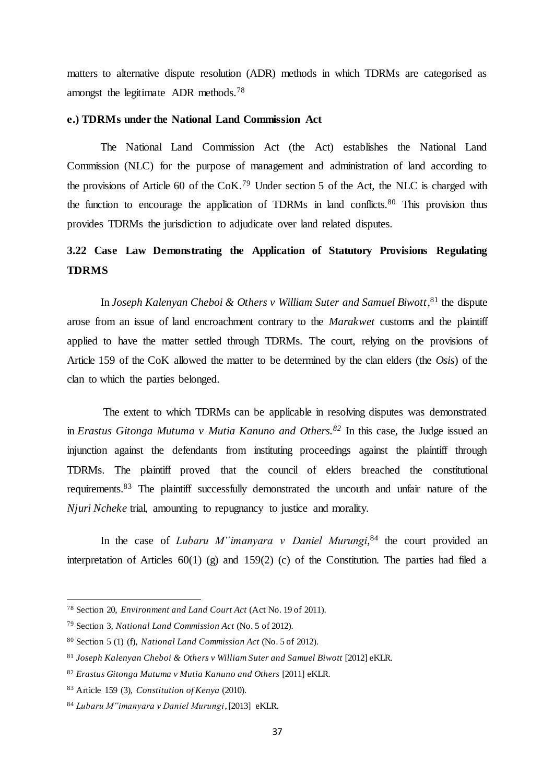matters to alternative dispute resolution (ADR) methods in which TDRMs are categorised as amongst the legitimate ADR methods.<sup>78</sup>

# **e.) TDRMs under the National Land Commission Act**

The National Land Commission Act (the Act) establishes the National Land Commission (NLC) for the purpose of management and administration of land according to the provisions of Article 60 of the CoK.<sup>79</sup> Under section 5 of the Act, the NLC is charged with the function to encourage the application of TDRMs in land conflicts.<sup>80</sup> This provision thus provides TDRMs the jurisdiction to adjudicate over land related disputes.

# <span id="page-36-0"></span>**3.22 Case Law Demonstrating the Application of Statutory Provisions Regulating TDRMS**

In *Joseph Kalenyan Cheboi & Others v William Suter and Samuel Biwott*, <sup>81</sup> the dispute arose from an issue of land encroachment contrary to the *Marakwet* customs and the plaintiff applied to have the matter settled through TDRMs. The court, relying on the provisions of Article 159 of the CoK allowed the matter to be determined by the clan elders (the *Osis*) of the clan to which the parties belonged.

The extent to which TDRMs can be applicable in resolving disputes was demonstrated in *Erastus Gitonga Mutuma v Mutia Kanuno and Others.<sup>82</sup>* In this case, the Judge issued an injunction against the defendants from instituting proceedings against the plaintiff through TDRMs. The plaintiff proved that the council of elders breached the constitutional requirements.<sup>83</sup> The plaintiff successfully demonstrated the uncouth and unfair nature of the *Njuri Ncheke* trial, amounting to repugnancy to justice and morality.

In the case of *Lubaru M"imanyara v Daniel Murungi*, <sup>84</sup> the court provided an interpretation of Articles 60(1) (g) and 159(2) (c) of the Constitution. The parties had filed a

<sup>78</sup> Section 20, *Environment and Land Court Act* (Act No. 19 of 2011).

<sup>79</sup> Section 3*, National Land Commission Act* (No. 5 of 2012).

<sup>80</sup> Section 5 (1) (f)*, National Land Commission Act* (No. 5 of 2012).

<sup>&</sup>lt;sup>81</sup> Joseph Kalenyan Cheboi & Others v William Suter and Samuel Biwott [2012] eKLR.

<sup>82</sup> *Erastus Gitonga Mutuma v Mutia Kanuno and Others* [2011] eKLR.

<sup>83</sup> Article 159 (3), *Constitution of Kenya* (2010).

<sup>84</sup> *Lubaru M"imanyara v Daniel Murungi*, [2013] eKLR.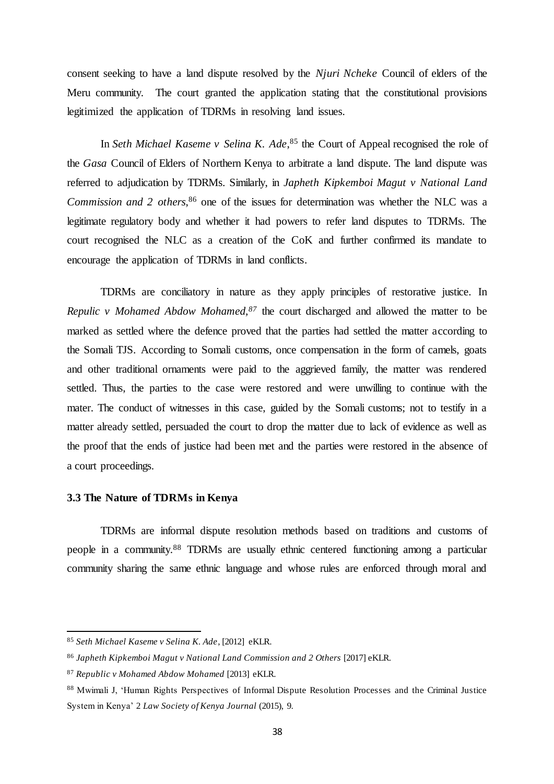consent seeking to have a land dispute resolved by the *Njuri Ncheke* Council of elders of the Meru community. The court granted the application stating that the constitutional provisions legitimized the application of TDRMs in resolving land issues.

In *Seth Michael Kaseme v Selina K. Ade*,<sup>85</sup> the Court of Appeal recognised the role of the *Gasa* Council of Elders of Northern Kenya to arbitrate a land dispute. The land dispute was referred to adjudication by TDRMs. Similarly, in *Japheth Kipkemboi Magut v National Land Commission and 2 others*, <sup>86</sup> one of the issues for determination was whether the NLC was a legitimate regulatory body and whether it had powers to refer land disputes to TDRMs. The court recognised the NLC as a creation of the CoK and further confirmed its mandate to encourage the application of TDRMs in land conflicts.

TDRMs are conciliatory in nature as they apply principles of restorative justice. In *Repulic v Mohamed Abdow Mohamed,<sup>87</sup>* the court discharged and allowed the matter to be marked as settled where the defence proved that the parties had settled the matter according to the Somali TJS. According to Somali customs, once compensation in the form of camels, goats and other traditional ornaments were paid to the aggrieved family, the matter was rendered settled. Thus, the parties to the case were restored and were unwilling to continue with the mater. The conduct of witnesses in this case, guided by the Somali customs; not to testify in a matter already settled, persuaded the court to drop the matter due to lack of evidence as well as the proof that the ends of justice had been met and the parties were restored in the absence of a court proceedings.

# <span id="page-37-0"></span>**3.3 The Nature of TDRMs in Kenya**

TDRMs are informal dispute resolution methods based on traditions and customs of people in a community.<sup>88</sup> TDRMs are usually ethnic centered functioning among a particular community sharing the same ethnic language and whose rules are enforced through moral and

<sup>85</sup> *Seth Michael Kaseme v Selina K. Ade*, [2012] eKLR.

<sup>&</sup>lt;sup>86</sup> Japheth Kipkemboi Magut v National Land Commission and 2 Others [2017] eKLR.

<sup>87</sup> *Republic v Mohamed Abdow Mohamed* [2013] eKLR.

<sup>88</sup> Mwimali J, 'Human Rights Perspectives of Informal Dispute Resolution Processes and the Criminal Justice System in Kenya' 2 *Law Society of Kenya Journal* (2015), 9.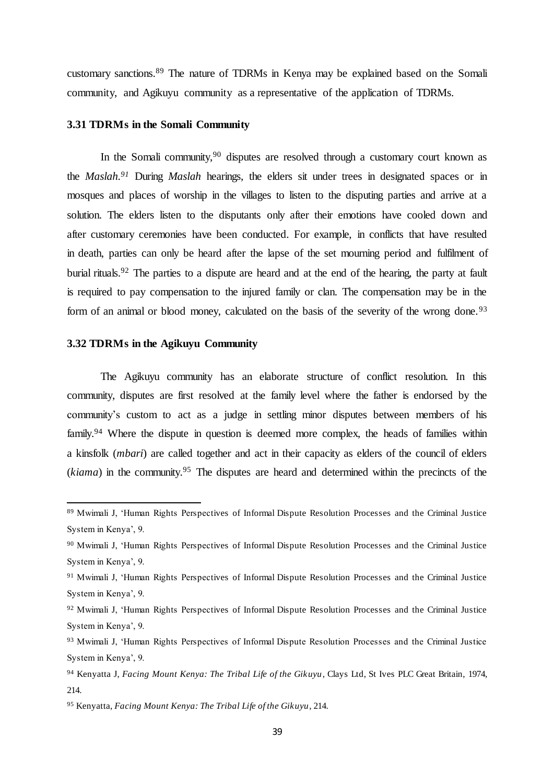<span id="page-38-0"></span>customary sanctions.<sup>89</sup> The nature of TDRMs in Kenya may be explained based on the Somali community, and Agikuyu community as a representative of the application of TDRMs.

#### **3.31 TDRMs in the Somali Community**

In the Somali community,  $90$  disputes are resolved through a customary court known as the *Maslah.<sup>91</sup>* During *Maslah* hearings, the elders sit under trees in designated spaces or in mosques and places of worship in the villages to listen to the disputing parties and arrive at a solution. The elders listen to the disputants only after their emotions have cooled down and after customary ceremonies have been conducted. For example, in conflicts that have resulted in death, parties can only be heard after the lapse of the set mourning period and fulfilment of burial rituals.<sup>92</sup> The parties to a dispute are heard and at the end of the hearing, the party at fault is required to pay compensation to the injured family or clan. The compensation may be in the form of an animal or blood money, calculated on the basis of the severity of the wrong done.<sup>93</sup>

# <span id="page-38-1"></span>**3.32 TDRMs in the Agikuyu Community**

 $\overline{a}$ 

The Agikuyu community has an elaborate structure of conflict resolution. In this community, disputes are first resolved at the family level where the father is endorsed by the community's custom to act as a judge in settling minor disputes between members of his family.<sup>94</sup> Where the dispute in question is deemed more complex, the heads of families within a kinsfolk (*mbari*) are called together and act in their capacity as elders of the council of elders (*kiama*) in the community.<sup>95</sup> The disputes are heard and determined within the precincts of the

<sup>89</sup> Mwimali J, 'Human Rights Perspectives of Informal Dispute Resolution Processes and the Criminal Justice System in Kenya', 9.

<sup>90</sup> Mwimali J, 'Human Rights Perspectives of Informal Dispute Resolution Processes and the Criminal Justice System in Kenya', 9.

<sup>91</sup> Mwimali J, 'Human Rights Perspectives of Informal Dispute Resolution Processes and the Criminal Justice System in Kenya', 9.

<sup>92</sup> Mwimali J, 'Human Rights Perspectives of Informal Dispute Resolution Processes and the Criminal Justice System in Kenya', 9.

<sup>93</sup> Mwimali J, 'Human Rights Perspectives of Informal Dispute Resolution Processes and the Criminal Justice System in Kenya', 9.

<sup>94</sup> Kenyatta J, *Facing Mount Kenya: The Tribal Life of the Gikuyu*, Clays Ltd, St Ives PLC Great Britain, 1974, 214.

<sup>95</sup> Kenyatta, *Facing Mount Kenya: The Tribal Life of the Gikuyu*, 214.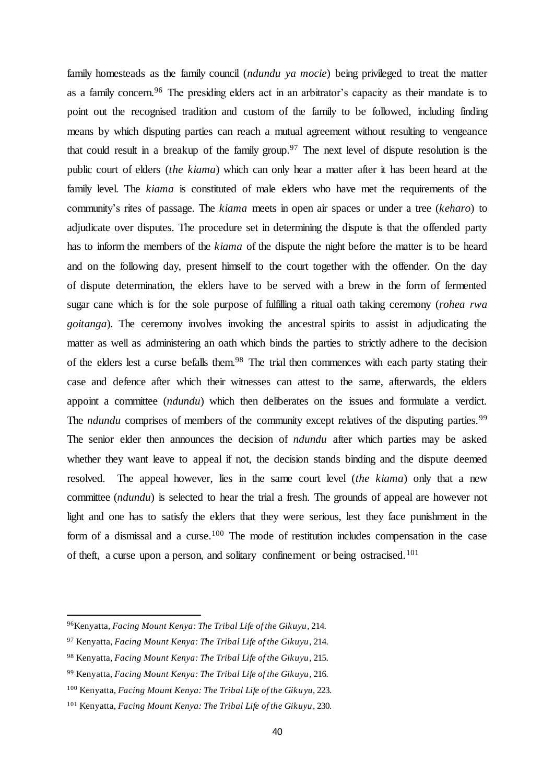family homesteads as the family council (*ndundu ya mocie*) being privileged to treat the matter as a family concern.<sup>96</sup> The presiding elders act in an arbitrator's capacity as their mandate is to point out the recognised tradition and custom of the family to be followed, including finding means by which disputing parties can reach a mutual agreement without resulting to vengeance that could result in a breakup of the family group.<sup>97</sup> The next level of dispute resolution is the public court of elders (*the kiama*) which can only hear a matter after it has been heard at the family level. The *kiama* is constituted of male elders who have met the requirements of the community's rites of passage. The *kiama* meets in open air spaces or under a tree (*keharo*) to adjudicate over disputes. The procedure set in determining the dispute is that the offended party has to inform the members of the *kiama* of the dispute the night before the matter is to be heard and on the following day, present himself to the court together with the offender. On the day of dispute determination, the elders have to be served with a brew in the form of fermented sugar cane which is for the sole purpose of fulfilling a ritual oath taking ceremony (*rohea rwa goitanga*). The ceremony involves invoking the ancestral spirits to assist in adjudicating the matter as well as administering an oath which binds the parties to strictly adhere to the decision of the elders lest a curse befalls them.<sup>98</sup> The trial then commences with each party stating their case and defence after which their witnesses can attest to the same, afterwards, the elders appoint a committee (*ndundu*) which then deliberates on the issues and formulate a verdict. The *ndundu* comprises of members of the community except relatives of the disputing parties.<sup>99</sup> The senior elder then announces the decision of *ndundu* after which parties may be asked whether they want leave to appeal if not, the decision stands binding and the dispute deemed resolved. The appeal however, lies in the same court level (*the kiama*) only that a new committee (*ndundu*) is selected to hear the trial a fresh. The grounds of appeal are however not light and one has to satisfy the elders that they were serious, lest they face punishment in the form of a dismissal and a curse.<sup>100</sup> The mode of restitution includes compensation in the case of theft, a curse upon a person, and solitary confinement or being ostracised.<sup>101</sup>

<sup>96</sup>Kenyatta, *Facing Mount Kenya: The Tribal Life of the Gikuyu*, 214.

<sup>97</sup> Kenyatta, *Facing Mount Kenya: The Tribal Life of the Gikuyu*, 214.

<sup>98</sup> Kenyatta, *Facing Mount Kenya: The Tribal Life of the Gikuyu*, 215.

<sup>99</sup> Kenyatta, *Facing Mount Kenya: The Tribal Life of the Gikuyu*, 216.

<sup>100</sup> Kenyatta, *Facing Mount Kenya: The Tribal Life of the Gikuyu*, 223.

<sup>101</sup> Kenyatta, *Facing Mount Kenya: The Tribal Life of the Gikuyu*, 230.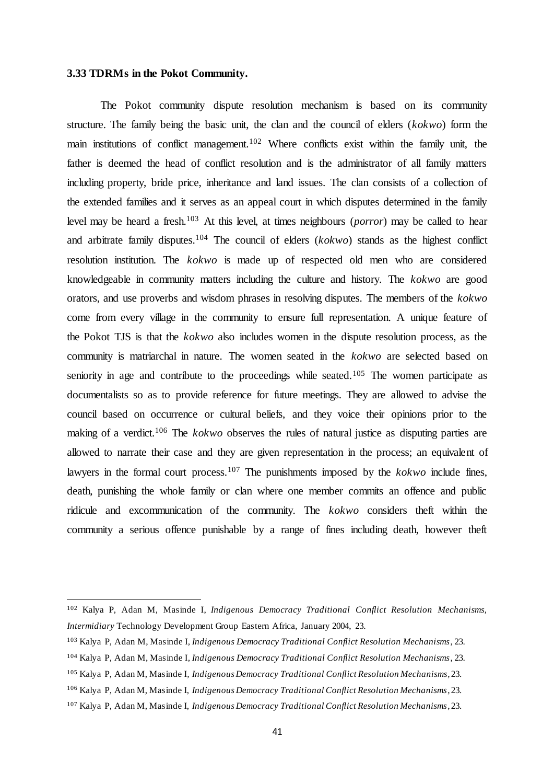# <span id="page-40-0"></span>**3.33 TDRMs in the Pokot Community.**

 $\overline{a}$ 

The Pokot community dispute resolution mechanism is based on its community structure. The family being the basic unit, the clan and the council of elders (*kokwo*) form the main institutions of conflict management.<sup>102</sup> Where conflicts exist within the family unit, the father is deemed the head of conflict resolution and is the administrator of all family matters including property, bride price, inheritance and land issues. The clan consists of a collection of the extended families and it serves as an appeal court in which disputes determined in the family level may be heard a fresh. <sup>103</sup> At this level, at times neighbours (*porror*) may be called to hear and arbitrate family disputes.<sup>104</sup> The council of elders (*kokwo*) stands as the highest conflict resolution institution. The *kokwo* is made up of respected old men who are considered knowledgeable in community matters including the culture and history. The *kokwo* are good orators, and use proverbs and wisdom phrases in resolving disputes. The members of the *kokwo* come from every village in the community to ensure full representation. A unique feature of the Pokot TJS is that the *kokwo* also includes women in the dispute resolution process, as the community is matriarchal in nature. The women seated in the *kokwo* are selected based on seniority in age and contribute to the proceedings while seated.<sup>105</sup> The women participate as documentalists so as to provide reference for future meetings. They are allowed to advise the council based on occurrence or cultural beliefs, and they voice their opinions prior to the making of a verdict.<sup>106</sup> The *kokwo* observes the rules of natural justice as disputing parties are allowed to narrate their case and they are given representation in the process; an equivalent of lawyers in the formal court process.<sup>107</sup> The punishments imposed by the *kokwo* include fines, death, punishing the whole family or clan where one member commits an offence and public ridicule and excommunication of the community. The *kokwo* considers theft within the community a serious offence punishable by a range of fines including death, however theft

<sup>102</sup> Kalya P, Adan M, Masinde I, *Indigenous Democracy Traditional Conflict Resolution Mechanisms, Intermidiary* Technology Development Group Eastern Africa, January 2004, 23.

<sup>103</sup> Kalya P, Adan M, Masinde I*, Indigenous Democracy Traditional Conflict Resolution Mechanisms*, 23.

<sup>104</sup> Kalya P, Adan M, Masinde I*, Indigenous Democracy Traditional Conflict Resolution Mechanisms*, 23.

<sup>105</sup> Kalya P, Adan M, Masinde I*, Indigenous Democracy Traditional Conflict Resolution Mechanisms*, 23.

<sup>106</sup> Kalya P, Adan M, Masinde I, *Indigenous Democracy Traditional Conflict Resolution Mechanisms*, 23.

<sup>107</sup> Kalya P, Adan M, Masinde I, *Indigenous Democracy Traditional Conflict Resolution Mechanisms*, 23.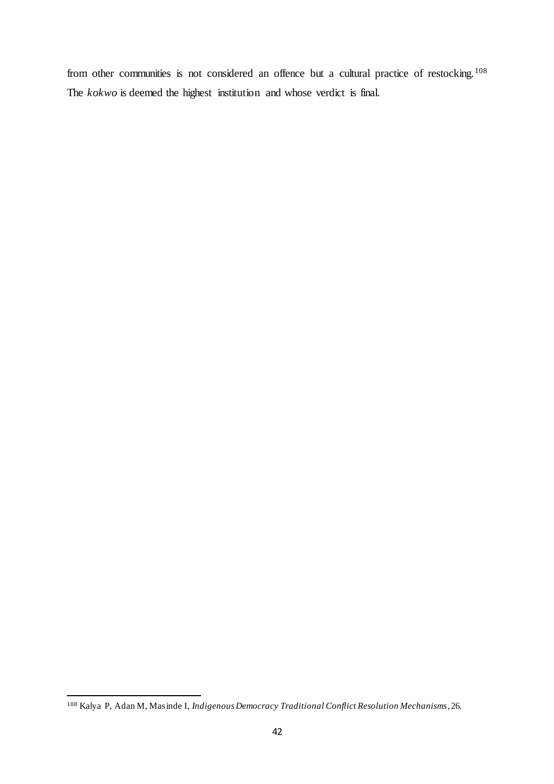from other communities is not considered an offence but a cultural practice of restocking.<sup>108</sup> The *kokwo* is deemed the highest institution and whose verdict is final.

<sup>108</sup> Kalya P, Adan M, Masinde I*, Indigenous Democracy Traditional Conflict Resolution Mechanisms*, 26.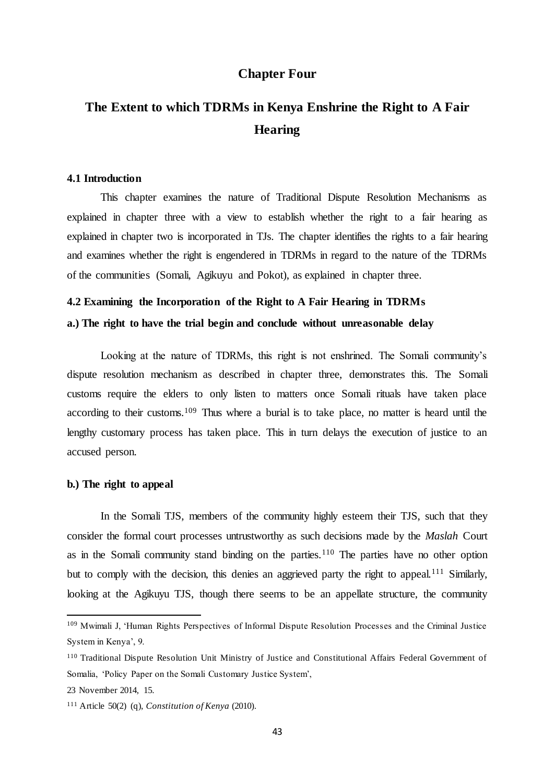# **Chapter Four**

# <span id="page-42-2"></span><span id="page-42-1"></span><span id="page-42-0"></span>**The Extent to which TDRMs in Kenya Enshrine the Right to A Fair Hearing**

# **4.1 Introduction**

This chapter examines the nature of Traditional Dispute Resolution Mechanisms as explained in chapter three with a view to establish whether the right to a fair hearing as explained in chapter two is incorporated in TJs. The chapter identifies the rights to a fair hearing and examines whether the right is engendered in TDRMs in regard to the nature of the TDRMs of the communities (Somali, Agikuyu and Pokot), as explained in chapter three.

## <span id="page-42-4"></span><span id="page-42-3"></span>**4.2 Examining the Incorporation of the Right to A Fair Hearing in TDRMs**

# **a.) The right to have the trial begin and conclude without unreasonable delay**

Looking at the nature of TDRMs, this right is not enshrined. The Somali community's dispute resolution mechanism as described in chapter three, demonstrates this. The Somali customs require the elders to only listen to matters once Somali rituals have taken place according to their customs.<sup>109</sup> Thus where a burial is to take place, no matter is heard until the lengthy customary process has taken place. This in turn delays the execution of justice to an accused person.

# <span id="page-42-5"></span>**b.) The right to appeal**

In the Somali TJS, members of the community highly esteem their TJS, such that they consider the formal court processes untrustworthy as such decisions made by the *Maslah* Court as in the Somali community stand binding on the parties.<sup>110</sup> The parties have no other option but to comply with the decision, this denies an aggrieved party the right to appeal.<sup>111</sup> Similarly, looking at the Agikuyu TJS, though there seems to be an appellate structure, the community

<sup>109</sup> Mwimali J, 'Human Rights Perspectives of Informal Dispute Resolution Processes and the Criminal Justice System in Kenya', 9.

<sup>110</sup> Traditional Dispute Resolution Unit Ministry of Justice and Constitutional Affairs Federal Government of Somalia, 'Policy Paper on the Somali Customary Justice System',

<sup>23</sup> November 2014, 15.

<sup>111</sup> Article 50(2) (q), *Constitution of Kenya* (2010).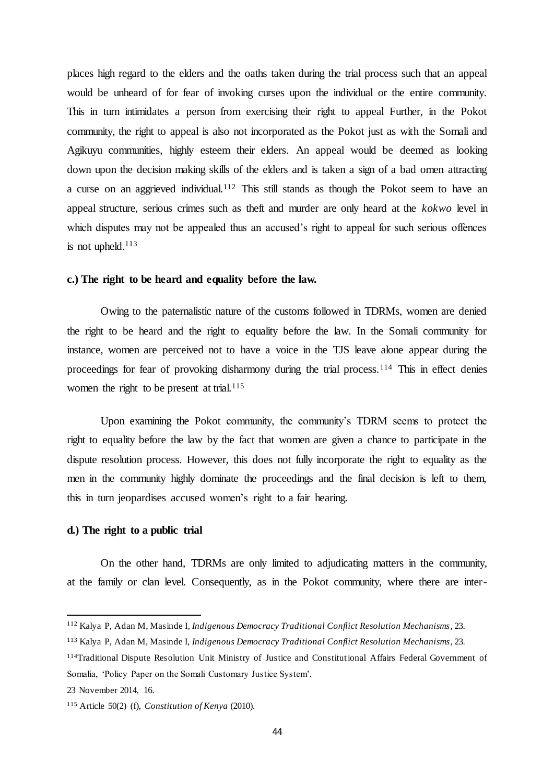places high regard to the elders and the oaths taken during the trial process such that an appeal would be unheard of for fear of invoking curses upon the individual or the entire community. This in turn intimidates a person from exercising their right to appeal Further, in the Pokot community, the right to appeal is also not incorporated as the Pokot just as with the Somali and Agikuyu communities, highly esteem their elders. An appeal would be deemed as looking down upon the decision making skills of the elders and is taken a sign of a bad omen attracting a curse on an aggrieved individual.<sup>112</sup> This still stands as though the Pokot seem to have an appeal structure, serious crimes such as theft and murder are only heard at the *kokwo* level in which disputes may not be appealed thus an accused's right to appeal for such serious offences is not upheld. $113$ 

#### <span id="page-43-0"></span>**c.) The right to be heard and equality before the law.**

Owing to the paternalistic nature of the customs followed in TDRMs, women are denied the right to be heard and the right to equality before the law. In the Somali community for instance, women are perceived not to have a voice in the TJS leave alone appear during the proceedings for fear of provoking disharmony during the trial process.<sup>114</sup> This in effect denies women the right to be present at trial. $115$ 

Upon examining the Pokot community, the community's TDRM seems to protect the right to equality before the law by the fact that women are given a chance to participate in the dispute resolution process. However, this does not fully incorporate the right to equality as the men in the community highly dominate the proceedings and the final decision is left to them, this in turn jeopardises accused women's right to a fair hearing.

#### <span id="page-43-1"></span>**d.) The right to a public trial**

On the other hand, TDRMs are only limited to adjudicating matters in the community, at the family or clan level. Consequently, as in the Pokot community, where there are inter-

<sup>112</sup> Kalya P, Adan M, Masinde I*, Indigenous Democracy Traditional Conflict Resolution Mechanisms*, 23.

<sup>113</sup> Kalya P, Adan M, Masinde I, *Indigenous Democracy Traditional Conflict Resolution Mechanisms*, 23.

<sup>114</sup>Traditional Dispute Resolution Unit Ministry of Justice and Constitutional Affairs Federal Government of Somalia, 'Policy Paper on the Somali Customary Justice System'.

<sup>23</sup> November 2014, 16.

<sup>115</sup> Article 50(2) (f), *Constitution of Kenya* (2010).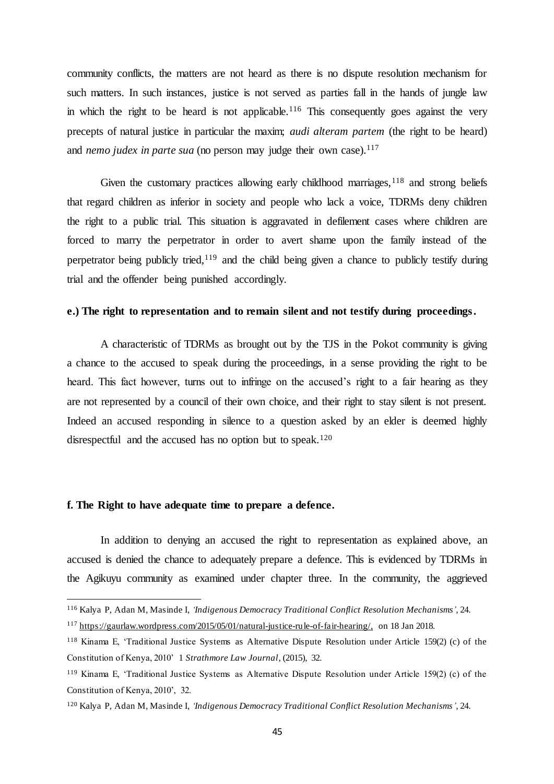community conflicts, the matters are not heard as there is no dispute resolution mechanism for such matters. In such instances, justice is not served as parties fall in the hands of jungle law in which the right to be heard is not applicable.<sup>116</sup> This consequently goes against the very precepts of natural justice in particular the maxim; *audi alteram partem* (the right to be heard) and *nemo judex in parte sua* (no person may judge their own case).<sup>117</sup>

Given the customary practices allowing early childhood marriages,  $118$  and strong beliefs that regard children as inferior in society and people who lack a voice, TDRMs deny children the right to a public trial. This situation is aggravated in defilement cases where children are forced to marry the perpetrator in order to avert shame upon the family instead of the perpetrator being publicly tried, $119$  and the child being given a chance to publicly testify during trial and the offender being punished accordingly.

# <span id="page-44-0"></span>**e.) The right to representation and to remain silent and not testify during proceedings.**

A characteristic of TDRMs as brought out by the TJS in the Pokot community is giving a chance to the accused to speak during the proceedings, in a sense providing the right to be heard. This fact however, turns out to infringe on the accused's right to a fair hearing as they are not represented by a council of their own choice, and their right to stay silent is not present. Indeed an accused responding in silence to a question asked by an elder is deemed highly disrespectful and the accused has no option but to speak.<sup>120</sup>

# <span id="page-44-1"></span>**f. The Right to have adequate time to prepare a defence.**

 $\overline{a}$ 

In addition to denying an accused the right to representation as explained above, an accused is denied the chance to adequately prepare a defence. This is evidenced by TDRMs in the Agikuyu community as examined under chapter three. In the community, the aggrieved

<sup>116</sup> Kalya P, Adan M, Masinde I, *'Indigenous Democracy Traditional Conflict Resolution Mechanisms'*, 24.

<sup>117</sup> [https://gaurlaw.wordpress.com/2015/05/01/natural-justice-rule-of-fair-hearing/,](https://gaurlaw.wordpress.com/2015/05/01/natural-justice-rule-of-fair-hearing/) on 18 Jan 2018.

<sup>118</sup> Kinama E, 'Traditional Justice Systems as Alternative Dispute Resolution under Article 159(2) (c) of the Constitution of Kenya, 2010' 1 *Strathmore Law Journal*, (2015), 32.

<sup>119</sup> Kinama E, 'Traditional Justice Systems as Alternative Dispute Resolution under Article 159(2) (c) of the Constitution of Kenya, 2010', 32.

<sup>120</sup> Kalya P, Adan M, Masinde I, *'Indigenous Democracy Traditional Conflict Resolution Mechanisms'*, 24.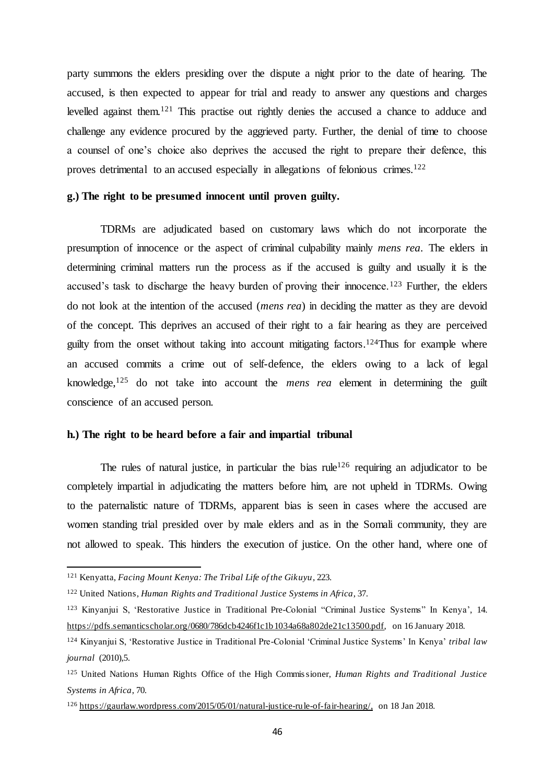party summons the elders presiding over the dispute a night prior to the date of hearing. The accused, is then expected to appear for trial and ready to answer any questions and charges levelled against them.<sup>121</sup> This practise out rightly denies the accused a chance to adduce and challenge any evidence procured by the aggrieved party. Further, the denial of time to choose a counsel of one's choice also deprives the accused the right to prepare their defence, this proves detrimental to an accused especially in allegations of felonious crimes.<sup>122</sup>

#### <span id="page-45-0"></span>**g.) The right to be presumed innocent until proven guilty.**

TDRMs are adjudicated based on customary laws which do not incorporate the presumption of innocence or the aspect of criminal culpability mainly *mens rea*. The elders in determining criminal matters run the process as if the accused is guilty and usually it is the accused's task to discharge the heavy burden of proving their innocence.<sup>123</sup> Further, the elders do not look at the intention of the accused (*mens rea*) in deciding the matter as they are devoid of the concept. This deprives an accused of their right to a fair hearing as they are perceived guilty from the onset without taking into account mitigating factors.<sup>124</sup>Thus for example where an accused commits a crime out of self-defence, the elders owing to a lack of legal knowledge,<sup>125</sup> do not take into account the *mens rea* element in determining the guilt conscience of an accused person.

# <span id="page-45-1"></span>**h.) The right to be heard before a fair and impartial tribunal**

The rules of natural justice, in particular the bias rule<sup>126</sup> requiring an adjudicator to be completely impartial in adjudicating the matters before him, are not upheld in TDRMs. Owing to the paternalistic nature of TDRMs, apparent bias is seen in cases where the accused are women standing trial presided over by male elders and as in the Somali community, they are not allowed to speak. This hinders the execution of justice. On the other hand, where one of

<sup>121</sup> Kenyatta, *Facing Mount Kenya: The Tribal Life of the Gikuyu*, 223.

<sup>122</sup> United Nations, *Human Rights and Traditional Justice Systems in Africa*, 37.

<sup>123</sup> Kinyanjui S, 'Restorative Justice in Traditional Pre-Colonial "Criminal Justice Systems" In Kenya', 14. [https://pdfs.semanticscholar.org/0680/786dcb4246f1c1b1034a68a802de21c13500.pdf,](https://pdfs.semanticscholar.org/0680/786dcb4246f1c1b1034a68a802de21c13500.pdf) on 16 January 2018.

<sup>124</sup> Kinyanjui S, 'Restorative Justice in Traditional Pre-Colonial 'Criminal Justice Systems' In Kenya' *tribal law journal* (2010),5.

<sup>125</sup> United Nations Human Rights Office of the High Commissioner, *Human Rights and Traditional Justice Systems in Africa*, 70.

<sup>126</sup> [https://gaurlaw.wordpress.com/2015/05/01/natural-justice-rule-of-fair-hearing/,](https://gaurlaw.wordpress.com/2015/05/01/natural-justice-rule-of-fair-hearing/) on 18 Jan 2018.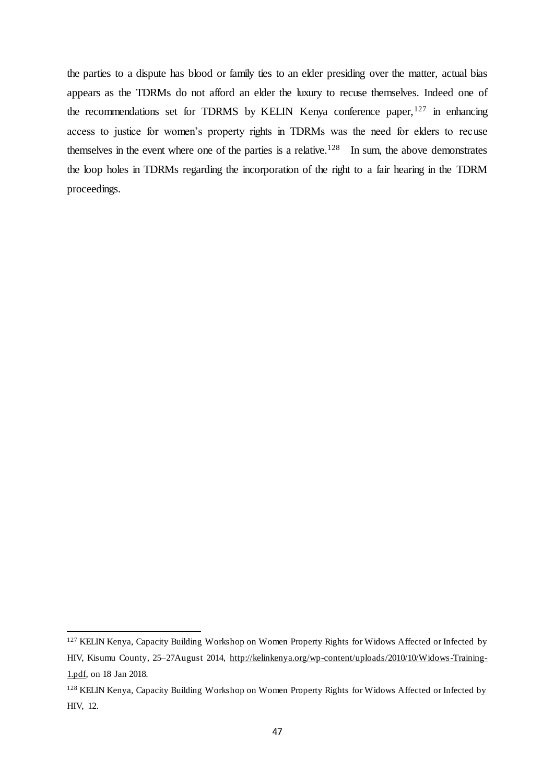the parties to a dispute has blood or family ties to an elder presiding over the matter, actual bias appears as the TDRMs do not afford an elder the luxury to recuse themselves. Indeed one of the recommendations set for TDRMS by KELIN Kenya conference paper,<sup>127</sup> in enhancing access to justice for women's property rights in TDRMs was the need for elders to recuse themselves in the event where one of the parties is a relative.<sup>128</sup> In sum, the above demonstrates the loop holes in TDRMs regarding the incorporation of the right to a fair hearing in the TDRM proceedings.

<sup>&</sup>lt;sup>127</sup> KELIN Kenya, Capacity Building Workshop on Women Property Rights for Widows Affected or Infected by HIV, Kisumu County, 25–27August 2014, [http://kelinkenya.org/wp-content/uploads/2010/10/Widows-Training-](http://kelinkenya.org/wp-content/uploads/2010/10/Widows-Training-1.pdf)[1.pdf,](http://kelinkenya.org/wp-content/uploads/2010/10/Widows-Training-1.pdf) on 18 Jan 2018.

<sup>128</sup> KELIN Kenya, Capacity Building Workshop on Women Property Rights for Widows Affected or Infected by HIV, 12.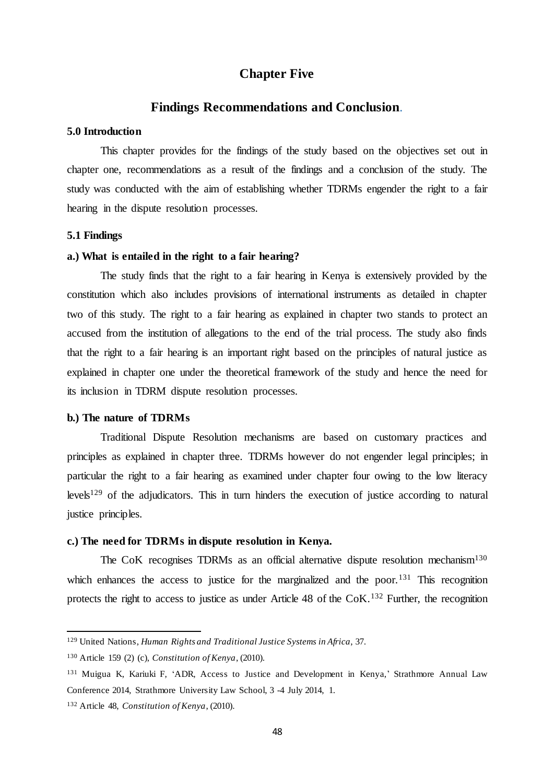# **Chapter Five**

# **Findings Recommendations and Conclusion**.

#### <span id="page-47-2"></span><span id="page-47-1"></span><span id="page-47-0"></span>**5.0 Introduction**

<span id="page-47-3"></span>This chapter provides for the findings of the study based on the objectives set out in chapter one, recommendations as a result of the findings and a conclusion of the study. The study was conducted with the aim of establishing whether TDRMs engender the right to a fair hearing in the dispute resolution processes.

#### <span id="page-47-4"></span>**5.1 Findings**

#### **a.) What is entailed in the right to a fair hearing?**

The study finds that the right to a fair hearing in Kenya is extensively provided by the constitution which also includes provisions of international instruments as detailed in chapter two of this study. The right to a fair hearing as explained in chapter two stands to protect an accused from the institution of allegations to the end of the trial process. The study also finds that the right to a fair hearing is an important right based on the principles of natural justice as explained in chapter one under the theoretical framework of the study and hence the need for its inclusion in TDRM dispute resolution processes.

#### <span id="page-47-5"></span>**b.) The nature of TDRMs**

Traditional Dispute Resolution mechanisms are based on customary practices and principles as explained in chapter three. TDRMs however do not engender legal principles; in particular the right to a fair hearing as examined under chapter four owing to the low literacy levels<sup>129</sup> of the adjudicators. This in turn hinders the execution of justice according to natural justice principles.

#### <span id="page-47-6"></span>**c.) The need for TDRMs in dispute resolution in Kenya.**

The CoK recognises TDRMs as an official alternative dispute resolution mechanism<sup>130</sup> which enhances the access to justice for the marginalized and the poor.<sup>131</sup> This recognition protects the right to access to justice as under Article 48 of the  $CoK<sup>132</sup>$  Further, the recognition

<sup>129</sup> United Nations, *Human Rights and Traditional Justice Systems in Africa*, 37.

<sup>130</sup> Article 159 (2) (c), *Constitution of Kenya*, (2010).

<sup>131</sup> Muigua K, Kariuki F, 'ADR, Access to Justice and Development in Kenya,' Strathmore Annual Law Conference 2014, Strathmore University Law School, 3 -4 July 2014, 1.

<sup>132</sup> Article 48, *Constitution of Kenya*, (2010).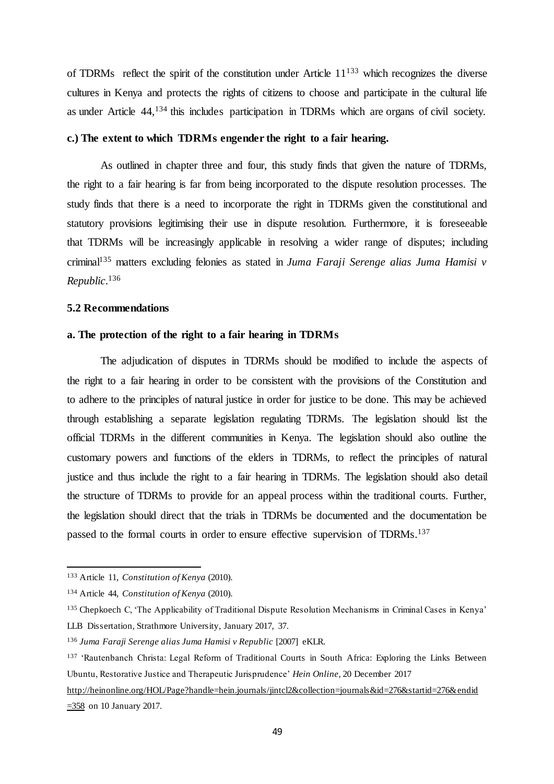of TDRMs reflect the spirit of the constitution under Article  $11^{133}$  which recognizes the diverse cultures in Kenya and protects the rights of citizens to choose and participate in the cultural life as under Article 44,<sup>134</sup> this includes participation in TDRMs which are organs of civil society.

# **c.) The extent to which TDRMs engender the right to a fair hearing.**

As outlined in chapter three and four, this study finds that given the nature of TDRMs, the right to a fair hearing is far from being incorporated to the dispute resolution processes. The study finds that there is a need to incorporate the right in TDRMs given the constitutional and statutory provisions legitimising their use in dispute resolution. Furthermore, it is foreseeable that TDRMs will be increasingly applicable in resolving a wider range of disputes; including criminal<sup>135</sup> matters excluding felonies as stated in *Juma Faraji Serenge alias Juma Hamisi v Republic*. 136

#### **5.2 Recommendations**

#### **a. The protection of the right to a fair hearing in TDRMs**

The adjudication of disputes in TDRMs should be modified to include the aspects of the right to a fair hearing in order to be consistent with the provisions of the Constitution and to adhere to the principles of natural justice in order for justice to be done. This may be achieved through establishing a separate legislation regulating TDRMs. The legislation should list the official TDRMs in the different communities in Kenya. The legislation should also outline the customary powers and functions of the elders in TDRMs, to reflect the principles of natural justice and thus include the right to a fair hearing in TDRMs. The legislation should also detail the structure of TDRMs to provide for an appeal process within the traditional courts. Further, the legislation should direct that the trials in TDRMs be documented and the documentation be passed to the formal courts in order to ensure effective supervision of TDRMs.<sup>137</sup>

<sup>133</sup> Article 11, *Constitution of Kenya* (2010).

<sup>134</sup> Article 44, *Constitution of Kenya* (2010).

<sup>135</sup> Chepkoech C, 'The Applicability of Traditional Dispute Resolution Mechanisms in Criminal Cases in Kenya' LLB Dissertation, Strathmore University, January 2017, 37.

<sup>136</sup> *Juma Faraji Serenge alias Juma Hamisi v Republic* [2007] eKLR.

<sup>137</sup> 'Rautenbanch Christa: Legal Reform of Traditional Courts in South Africa: Exploring the Links Between Ubuntu, Restorative Justice and Therapeutic Jurisprudence' *Hein Online*, 20 December 2017

http://heinonline.org/HOL/Page?handle=hein.journals/jintcl2&collection=journals&id=276&startid=276&endid  $\equiv$  358 on 10 January 2017.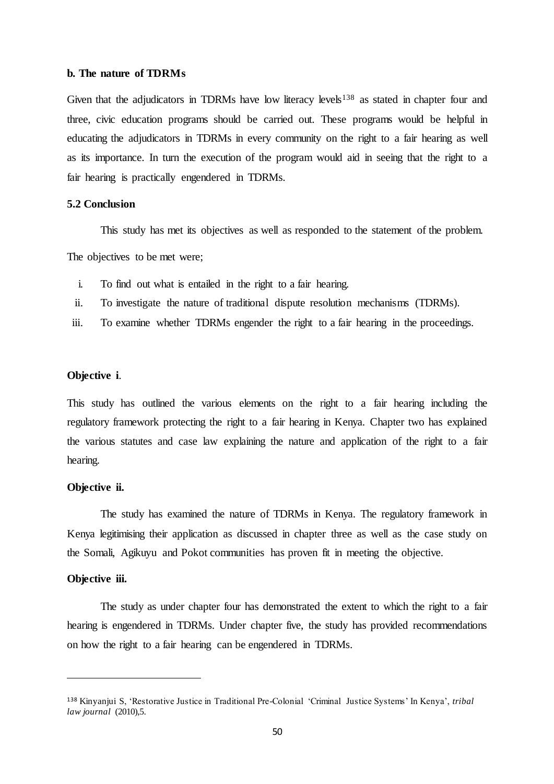#### **b. The nature of TDRMs**

Given that the adjudicators in TDRMs have low literacy levels<sup>138</sup> as stated in chapter four and three, civic education programs should be carried out. These programs would be helpful in educating the adjudicators in TDRMs in every community on the right to a fair hearing as well as its importance. In turn the execution of the program would aid in seeing that the right to a fair hearing is practically engendered in TDRMs.

#### **5.2 Conclusion**

This study has met its objectives as well as responded to the statement of the problem.

The objectives to be met were;

- i. To find out what is entailed in the right to a fair hearing.
- ii. To investigate the nature of traditional dispute resolution mechanisms (TDRMs).
- iii. To examine whether TDRMs engender the right to a fair hearing in the proceedings.

#### **Objective i**.

This study has outlined the various elements on the right to a fair hearing including the regulatory framework protecting the right to a fair hearing in Kenya. Chapter two has explained the various statutes and case law explaining the nature and application of the right to a fair hearing.

#### **Objective ii.**

The study has examined the nature of TDRMs in Kenya. The regulatory framework in Kenya legitimising their application as discussed in chapter three as well as the case study on the Somali, Agikuyu and Pokot communities has proven fit in meeting the objective.

#### **Objective iii.**

 $\overline{a}$ 

The study as under chapter four has demonstrated the extent to which the right to a fair hearing is engendered in TDRMs. Under chapter five, the study has provided recommendations on how the right to a fair hearing can be engendered in TDRMs.

<sup>138</sup> Kinyanjui S, 'Restorative Justice in Traditional Pre-Colonial 'Criminal Justice Systems' In Kenya', *tribal law journal* (2010),5.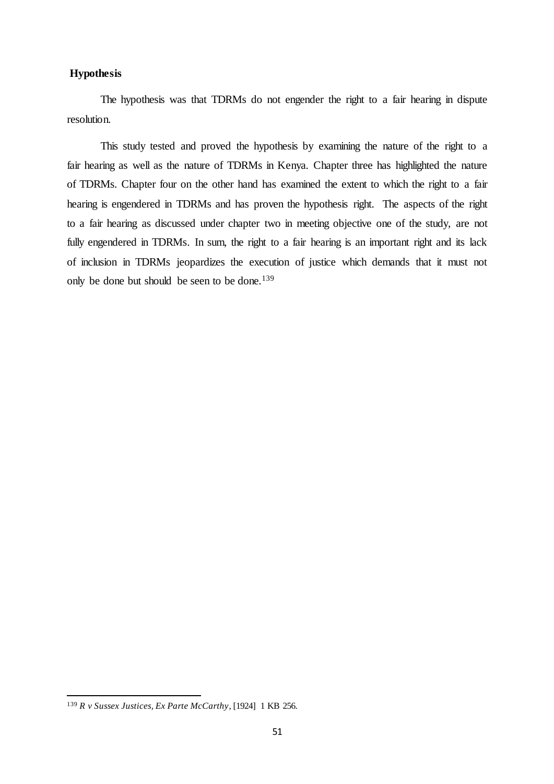# **Hypothesis**

The hypothesis was that TDRMs do not engender the right to a fair hearing in dispute resolution.

This study tested and proved the hypothesis by examining the nature of the right to a fair hearing as well as the nature of TDRMs in Kenya. Chapter three has highlighted the nature of TDRMs. Chapter four on the other hand has examined the extent to which the right to a fair hearing is engendered in TDRMs and has proven the hypothesis right. The aspects of the right to a fair hearing as discussed under chapter two in meeting objective one of the study, are not fully engendered in TDRMs. In sum, the right to a fair hearing is an important right and its lack of inclusion in TDRMs jeopardizes the execution of justice which demands that it must not only be done but should be seen to be done.<sup>139</sup>

<sup>139</sup> *R v Sussex Justices, Ex Parte McCarthy*, [1924] 1 KB 256.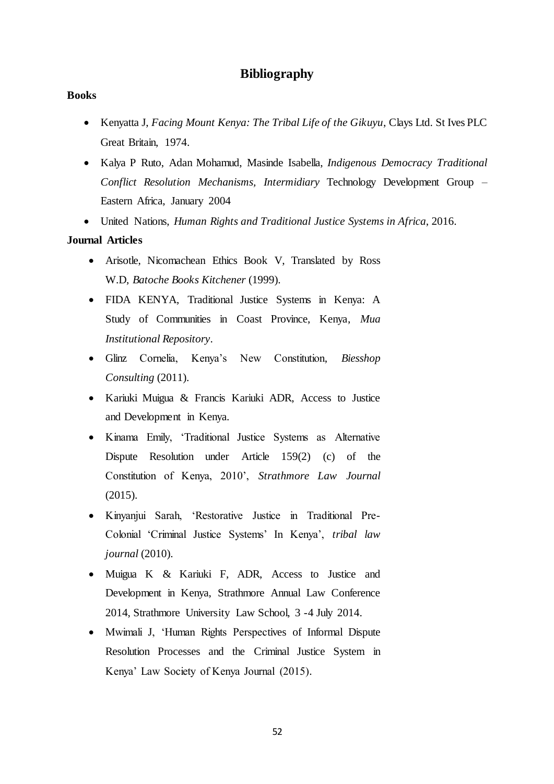# **Bibliography**

#### <span id="page-51-0"></span>**Books**

- Kenyatta J, *Facing Mount Kenya: The Tribal Life of the Gikuyu*, Clays Ltd. St Ives PLC Great Britain, 1974.
- Kalya P Ruto, Adan Mohamud, Masinde Isabella, *Indigenous Democracy Traditional Conflict Resolution Mechanisms, Intermidiary* Technology Development Group – Eastern Africa, January 2004
- United Nations, *Human Rights and Traditional Justice Systems in Africa*, 2016.

# **Journal Articles**

- Arisotle, Nicomachean Ethics Book V, Translated by Ross W.D, *Batoche Books Kitchener* (1999).
- FIDA KENYA, Traditional Justice Systems in Kenya: A Study of Communities in Coast Province, Kenya, *Mua Institutional Repository*.
- Glinz Cornelia, Kenya's New Constitution, *Biesshop Consulting* (2011).
- Kariuki Muigua & Francis Kariuki ADR, Access to Justice and Development in Kenya.
- Kinama Emily, 'Traditional Justice Systems as Alternative Dispute Resolution under Article 159(2) (c) of the Constitution of Kenya, 2010', *Strathmore Law Journal* (2015).
- Kinyanjui Sarah, 'Restorative Justice in Traditional Pre-Colonial 'Criminal Justice Systems' In Kenya', *tribal law journal* (2010).
- Muigua K & Kariuki F, ADR, Access to Justice and Development in Kenya, Strathmore Annual Law Conference 2014, Strathmore University Law School, 3 -4 July 2014.
- Mwimali J, 'Human Rights Perspectives of Informal Dispute Resolution Processes and the Criminal Justice System in Kenya' Law Society of Kenya Journal (2015).